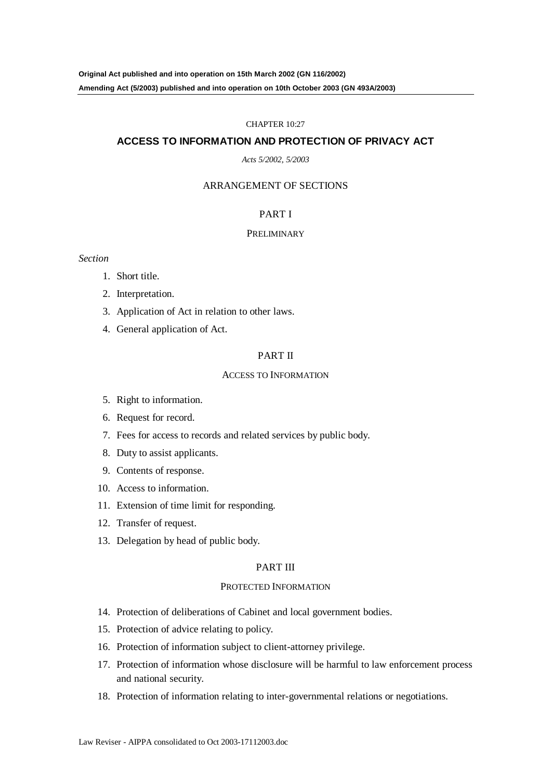#### CHAPTER 10:27

#### **ACCESS TO INFORMATION AND PROTECTION OF PRIVACY ACT**

#### *Acts 5/2002, 5/2003*

#### ARRANGEMENT OF SECTIONS

### PART I

#### PRELIMINARY

*Section*

- 1. Short title.
- 2. Interpretation.
- 3. Application of Act in relation to other laws.
- 4. General application of Act.

#### PART II

#### ACCESS TO INFORMATION

- 5. Right to information.
- 6. Request for record.
- 7. Fees for access to records and related services by public body.
- 8. Duty to assist applicants.
- 9. Contents of response.
- 10. Access to information.
- 11. Extension of time limit for responding.
- 12. Transfer of request.
- 13. Delegation by head of public body.

#### PART III

#### PROTECTED INFORMATION

- 14. Protection of deliberations of Cabinet and local government bodies.
- 15. Protection of advice relating to policy.
- 16. Protection of information subject to client-attorney privilege.
- 17. Protection of information whose disclosure will be harmful to law enforcement process and national security.
- 18. Protection of information relating to inter-governmental relations or negotiations.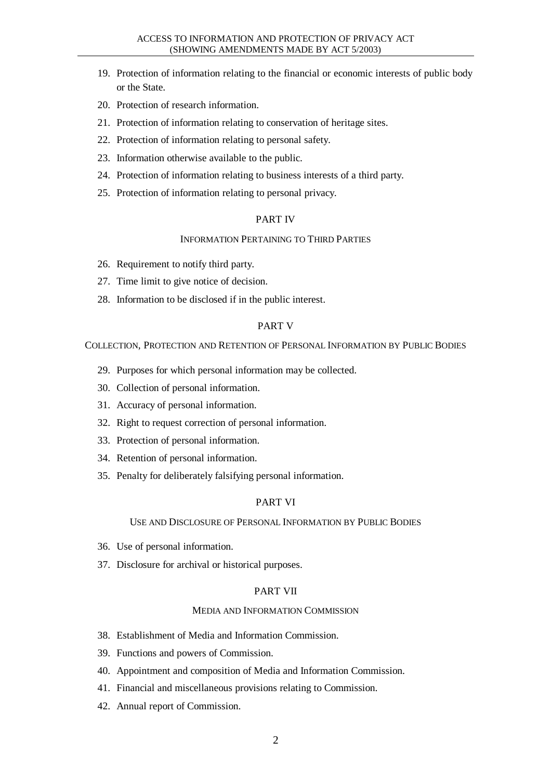- 19. Protection of information relating to the financial or economic interests of public body or the State.
- 20. Protection of research information.
- 21. Protection of information relating to conservation of heritage sites.
- 22. Protection of information relating to personal safety.
- 23. Information otherwise available to the public.
- 24. Protection of information relating to business interests of a third party.
- 25. Protection of information relating to personal privacy.

### PART IV

#### INFORMATION PERTAINING TO THIRD PARTIES

- 26. Requirement to notify third party.
- 27. Time limit to give notice of decision.
- 28. Information to be disclosed if in the public interest.

### PART V

COLLECTION, PROTECTION AND RETENTION OF PERSONAL INFORMATION BY PUBLIC BODIES

- 29. Purposes for which personal information may be collected.
- 30. Collection of personal information.
- 31. Accuracy of personal information.
- 32. Right to request correction of personal information.
- 33. Protection of personal information.
- 34. Retention of personal information.
- 35. Penalty for deliberately falsifying personal information.

### PART VI

#### USE AND DISCLOSURE OF PERSONAL INFORMATION BY PUBLIC BODIES

- 36. Use of personal information.
- 37. Disclosure for archival or historical purposes.

#### PART VII

#### MEDIA AND INFORMATION COMMISSION

- 38. Establishment of Media and Information Commission.
- 39. Functions and powers of Commission.
- 40. Appointment and composition of Media and Information Commission.
- 41. Financial and miscellaneous provisions relating to Commission.
- 42. Annual report of Commission.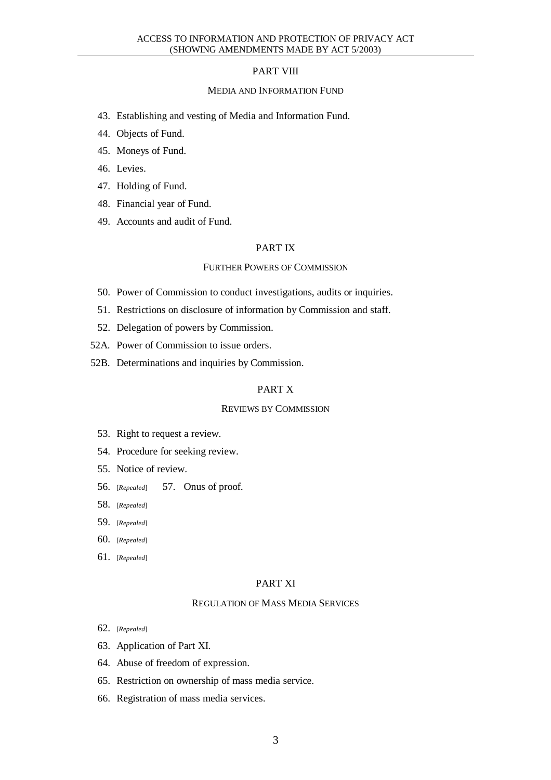### PART VIII

#### MEDIA AND INFORMATION FUND

- 43. Establishing and vesting of Media and Information Fund.
- 44. Objects of Fund.
- 45. Moneys of Fund.
- 46. Levies.
- 47. Holding of Fund.
- 48. Financial year of Fund.
- 49. Accounts and audit of Fund.

### PART IX

#### FURTHER POWERS OF COMMISSION

- 50. Power of Commission to conduct investigations, audits or inquiries.
- 51. Restrictions on disclosure of information by Commission and staff.
- 52. Delegation of powers by Commission.
- 52A. Power of Commission to issue orders.
- 52B. Determinations and inquiries by Commission.

#### PART X

#### REVIEWS BY COMMISSION

- 53. Right to request a review.
- 54. Procedure for seeking review.
- 55. Notice of review.
- 56. [*Repealed*] 57. Onus of proof.
- 58. [*Repealed*]
- 59. [*Repealed*]
- 60. [*Repealed*]
- 61. [*Repealed*]

#### PART XI

#### REGULATION OF MASS MEDIA SERVICES

- 62. [*Repealed*]
- 63. Application of Part XI.
- 64. Abuse of freedom of expression.
- 65. Restriction on ownership of mass media service.
- 66. Registration of mass media services.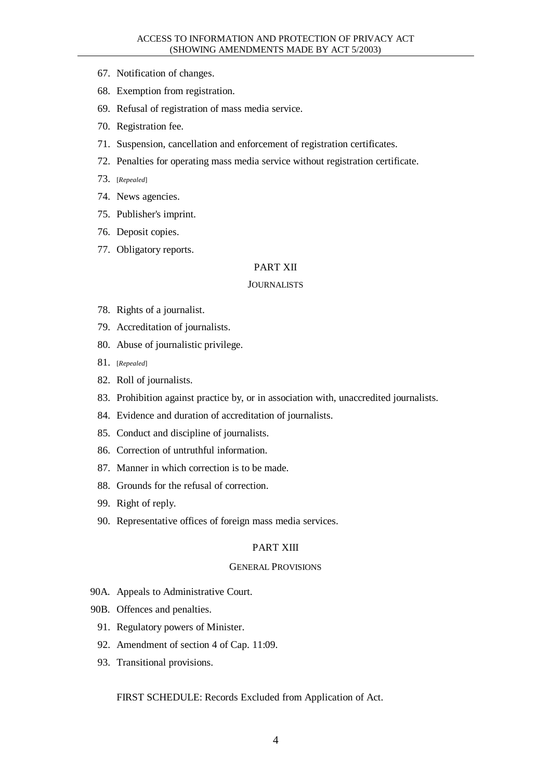- 67. Notification of changes.
- 68. Exemption from registration.
- 69. Refusal of registration of mass media service.
- 70. Registration fee.
- 71. Suspension, cancellation and enforcement of registration certificates.
- 72. Penalties for operating mass media service without registration certificate.
- 73. [*Repealed*]
- 74. News agencies.
- 75. Publisher's imprint.
- 76. Deposit copies.
- 77. Obligatory reports.

#### PART XII

#### JOURNALISTS

- 78. Rights of a journalist.
- 79. Accreditation of journalists.
- 80. Abuse of journalistic privilege.
- 81. [*Repealed*]
- 82. Roll of journalists.
- 83. Prohibition against practice by, or in association with, unaccredited journalists.
- 84. Evidence and duration of accreditation of journalists.
- 85. Conduct and discipline of journalists.
- 86. Correction of untruthful information.
- 87. Manner in which correction is to be made.
- 88. Grounds for the refusal of correction.
- 99. Right of reply.
- 90. Representative offices of foreign mass media services.

#### PART XIII

#### GENERAL PROVISIONS

- 90A. Appeals to Administrative Court.
- 90B. Offences and penalties.
	- 91. Regulatory powers of Minister.
	- 92. Amendment of section 4 of Cap. 11:09.
	- 93. Transitional provisions.

#### FIRST SCHEDULE: Records Excluded from Application of Act.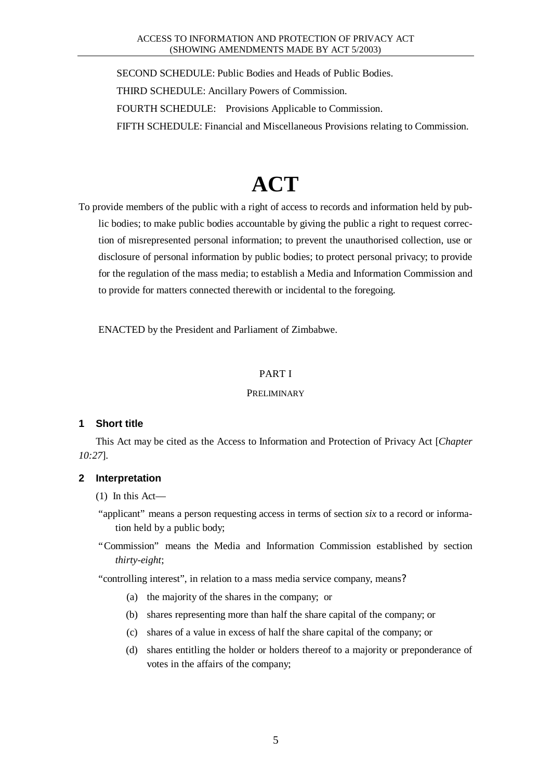SECOND SCHEDULE: Public Bodies and Heads of Public Bodies. THIRD SCHEDULE: Ancillary Powers of Commission. FOURTH SCHEDULE: Provisions Applicable to Commission. FIFTH SCHEDULE: Financial and Miscellaneous Provisions relating to Commission.

# **ACT**

To provide members of the public with a right of access to records and information held by public bodies; to make public bodies accountable by giving the public a right to request correction of misrepresented personal information; to prevent the unauthorised collection, use or disclosure of personal information by public bodies; to protect personal privacy; to provide for the regulation of the mass media; to establish a Media and Information Commission and to provide for matters connected therewith or incidental to the foregoing.

ENACTED by the President and Parliament of Zimbabwe.

### PART I

### PRELIMINARY

# **1 Short title**

This Act may be cited as the Access to Information and Protection of Privacy Act [*Chapter 10:27*].

# **2 Interpretation**

- (1) In this Act—
- "applicant" means a person requesting access in terms of section *six* to a record or information held by a public body;
- "Commission" means the Media and Information Commission established by section *thirty-eight*;

"controlling interest", in relation to a mass media service company, means?

- (a) the majority of the shares in the company; or
- (b) shares representing more than half the share capital of the company; or
- (c) shares of a value in excess of half the share capital of the company; or
- (d) shares entitling the holder or holders thereof to a majority or preponderance of votes in the affairs of the company;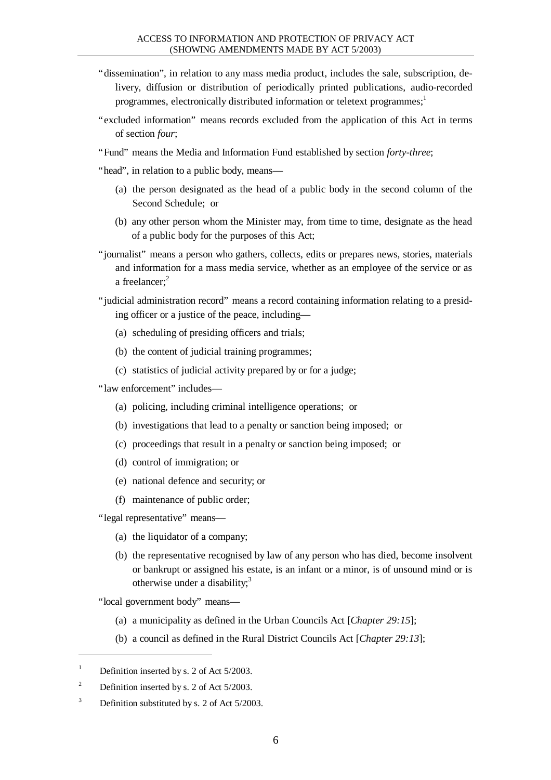- "dissemination", in relation to any mass media product, includes the sale, subscription, delivery, diffusion or distribution of periodically printed publications, audio-recorded programmes, electronically distributed information or teletext programmes;<sup>1</sup>
- "excluded information" means records excluded from the application of this Act in terms of section *four*;
- "Fund" means the Media and Information Fund established by section *forty-three*;
- "head", in relation to a public body, means—
	- (a) the person designated as the head of a public body in the second column of the Second Schedule; or
	- (b) any other person whom the Minister may, from time to time, designate as the head of a public body for the purposes of this Act;
- "journalist" means a person who gathers, collects, edits or prepares news, stories, materials and information for a mass media service, whether as an employee of the service or as a freelancer:<sup>2</sup>
- "judicial administration record" means a record containing information relating to a presiding officer or a justice of the peace, including—
	- (a) scheduling of presiding officers and trials;
	- (b) the content of judicial training programmes;
	- (c) statistics of judicial activity prepared by or for a judge;
- "law enforcement" includes—
	- (a) policing, including criminal intelligence operations; or
	- (b) investigations that lead to a penalty or sanction being imposed; or
	- (c) proceedings that result in a penalty or sanction being imposed; or
	- (d) control of immigration; or
	- (e) national defence and security; or
	- (f) maintenance of public order;
- "legal representative" means—
	- (a) the liquidator of a company;
	- (b) the representative recognised by law of any person who has died, become insolvent or bankrupt or assigned his estate, is an infant or a minor, is of unsound mind or is otherwise under a disability;<sup>3</sup>

"local government body" means—

- (a) a municipality as defined in the Urban Councils Act [*Chapter 29:15*];
- (b) a council as defined in the Rural District Councils Act [*Chapter 29:13*];

l

 $3$  Definition substituted by s. 2 of Act 5/2003.

<sup>&</sup>lt;sup>1</sup> Definition inserted by s. 2 of Act  $5/2003$ .

<sup>&</sup>lt;sup>2</sup> Definition inserted by s. 2 of Act  $5/2003$ .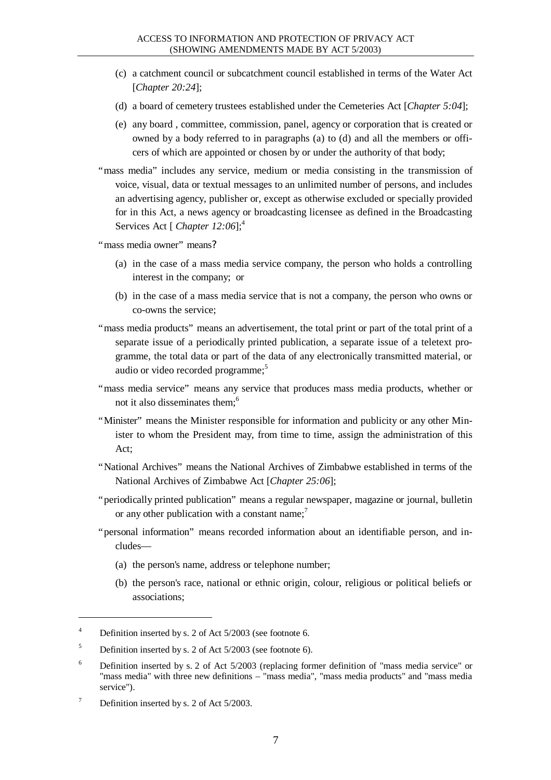- (c) a catchment council or subcatchment council established in terms of the Water Act [*Chapter 20:24*];
- (d) a board of cemetery trustees established under the Cemeteries Act [*Chapter 5:04*];
- (e) any board , committee, commission, panel, agency or corporation that is created or owned by a body referred to in paragraphs (a) to (d) and all the members or officers of which are appointed or chosen by or under the authority of that body;
- "mass media" includes any service, medium or media consisting in the transmission of voice, visual, data or textual messages to an unlimited number of persons, and includes an advertising agency, publisher or, except as otherwise excluded or specially provided for in this Act, a news agency or broadcasting licensee as defined in the Broadcasting Services Act [ *Chapter 12:06*];<sup>4</sup>

"mass media owner" means?

- (a) in the case of a mass media service company, the person who holds a controlling interest in the company; or
- (b) in the case of a mass media service that is not a company, the person who owns or co-owns the service;
- "mass media products" means an advertisement, the total print or part of the total print of a separate issue of a periodically printed publication, a separate issue of a teletext programme, the total data or part of the data of any electronically transmitted material, or audio or video recorded programme;<sup>5</sup>
- "mass media service" means any service that produces mass media products, whether or not it also disseminates them:<sup>6</sup>
- "Minister" means the Minister responsible for information and publicity or any other Minister to whom the President may, from time to time, assign the administration of this Act;
- "National Archives" means the National Archives of Zimbabwe established in terms of the National Archives of Zimbabwe Act [*Chapter 25:06*];
- "periodically printed publication" means a regular newspaper, magazine or journal, bulletin or any other publication with a constant name:<sup>7</sup>
- "personal information" means recorded information about an identifiable person, and includes—
	- (a) the person's name, address or telephone number;
	- (b) the person's race, national or ethnic origin, colour, religious or political beliefs or associations;

 $\overline{a}$ 

<sup>&</sup>lt;sup>4</sup> Definition inserted by s. 2 of Act 5/2003 (see footnote 6.

<sup>&</sup>lt;sup>5</sup> Definition inserted by s. 2 of Act  $5/2003$  (see footnote 6).

<sup>&</sup>lt;sup>6</sup> Definition inserted by s. 2 of Act  $5/2003$  (replacing former definition of "mass media service" or "mass media" with three new definitions – "mass media", "mass media products" and "mass media service").

<sup>&</sup>lt;sup>7</sup> Definition inserted by s. 2 of Act 5/2003.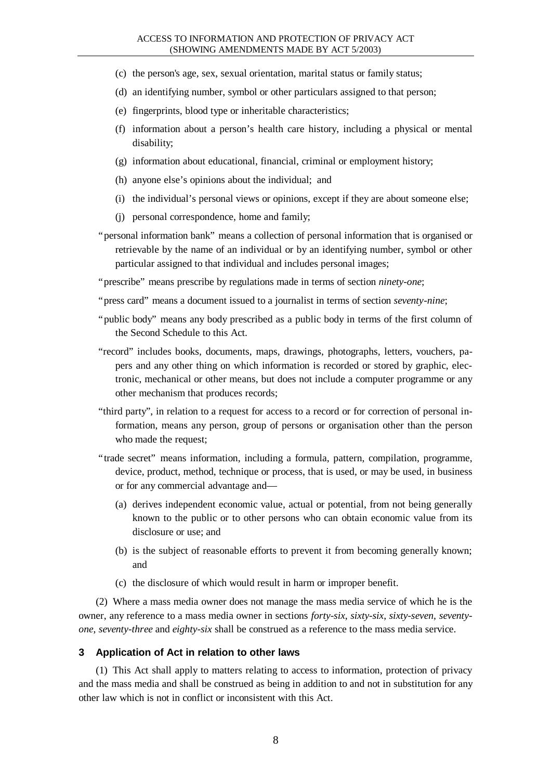#### ACCESS TO INFORMATION AND PROTECTION OF PRIVACY ACT (SHOWING AMENDMENTS MADE BY ACT 5/2003)

- (c) the person's age, sex, sexual orientation, marital status or family status;
- (d) an identifying number, symbol or other particulars assigned to that person;
- (e) fingerprints, blood type or inheritable characteristics;
- (f) information about a person's health care history, including a physical or mental disability;
- (g) information about educational, financial, criminal or employment history;
- (h) anyone else's opinions about the individual; and
- (i) the individual's personal views or opinions, except if they are about someone else;
- (j) personal correspondence, home and family;
- "personal information bank" means a collection of personal information that is organised or retrievable by the name of an individual or by an identifying number, symbol or other particular assigned to that individual and includes personal images;

"prescribe" means prescribe by regulations made in terms of section *ninety-one*;

- "press card" means a document issued to a journalist in terms of section *seventy-nine*;
- "public body" means any body prescribed as a public body in terms of the first column of the Second Schedule to this Act.
- "record" includes books, documents, maps, drawings, photographs, letters, vouchers, papers and any other thing on which information is recorded or stored by graphic, electronic, mechanical or other means, but does not include a computer programme or any other mechanism that produces records;
- "third party", in relation to a request for access to a record or for correction of personal information, means any person, group of persons or organisation other than the person who made the request;
- "trade secret" means information, including a formula, pattern, compilation, programme, device, product, method, technique or process, that is used, or may be used, in business or for any commercial advantage and—
	- (a) derives independent economic value, actual or potential, from not being generally known to the public or to other persons who can obtain economic value from its disclosure or use; and
	- (b) is the subject of reasonable efforts to prevent it from becoming generally known; and
	- (c) the disclosure of which would result in harm or improper benefit.

(2) Where a mass media owner does not manage the mass media service of which he is the owner, any reference to a mass media owner in sections *forty-six*, *sixty-six*, *sixty-seven*, *seventyone*, *seventy-three* and *eighty-six* shall be construed as a reference to the mass media service.

#### **3 Application of Act in relation to other laws**

(1) This Act shall apply to matters relating to access to information, protection of privacy and the mass media and shall be construed as being in addition to and not in substitution for any other law which is not in conflict or inconsistent with this Act.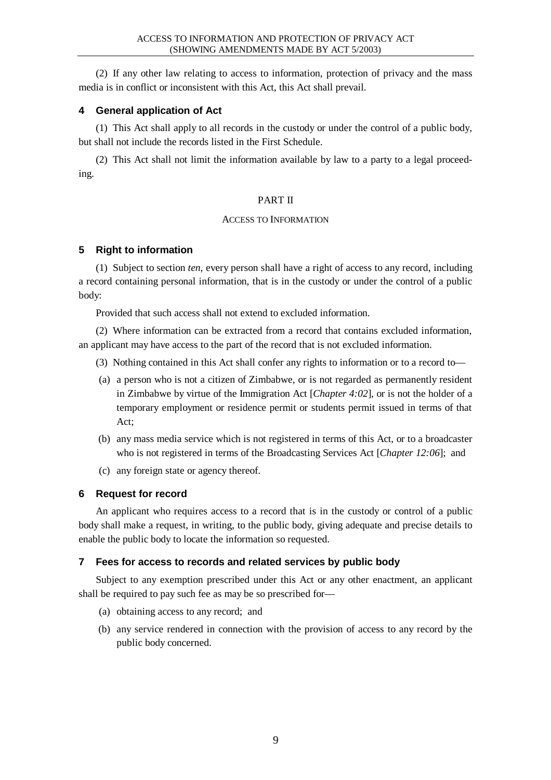(2) If any other law relating to access to information, protection of privacy and the mass media is in conflict or inconsistent with this Act, this Act shall prevail.

# **4 General application of Act**

(1) This Act shall apply to all records in the custody or under the control of a public body, but shall not include the records listed in the First Schedule.

(2) This Act shall not limit the information available by law to a party to a legal proceeding.

### PART II

### ACCESS TO INFORMATION

# **5 Right to information**

(1) Subject to section *ten*, every person shall have a right of access to any record, including a record containing personal information, that is in the custody or under the control of a public body:

Provided that such access shall not extend to excluded information.

(2) Where information can be extracted from a record that contains excluded information, an applicant may have access to the part of the record that is not excluded information.

- (3) Nothing contained in this Act shall confer any rights to information or to a record to—
- (a) a person who is not a citizen of Zimbabwe, or is not regarded as permanently resident in Zimbabwe by virtue of the Immigration Act [*Chapter 4:02*], or is not the holder of a temporary employment or residence permit or students permit issued in terms of that Act;
- (b) any mass media service which is not registered in terms of this Act, or to a broadcaster who is not registered in terms of the Broadcasting Services Act [*Chapter 12:06*]; and
- (c) any foreign state or agency thereof.

# **6 Request for record**

An applicant who requires access to a record that is in the custody or control of a public body shall make a request, in writing, to the public body, giving adequate and precise details to enable the public body to locate the information so requested.

# **7 Fees for access to records and related services by public body**

Subject to any exemption prescribed under this Act or any other enactment, an applicant shall be required to pay such fee as may be so prescribed for—

- (a) obtaining access to any record; and
- (b) any service rendered in connection with the provision of access to any record by the public body concerned.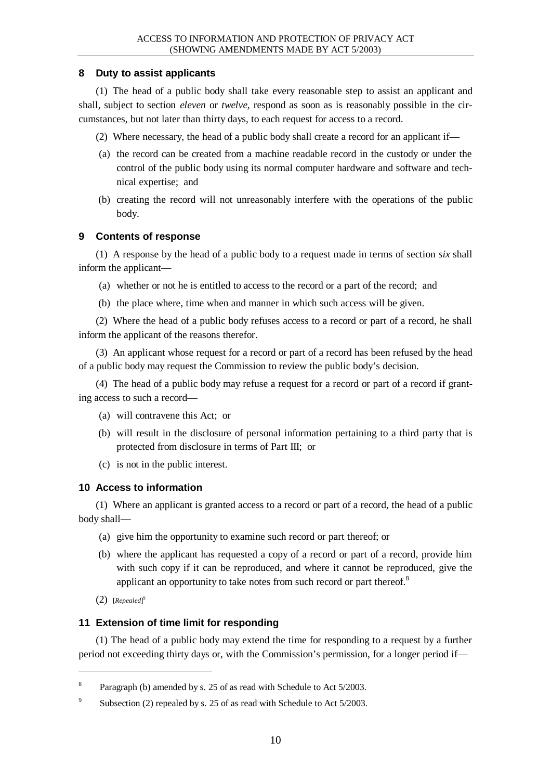# **8 Duty to assist applicants**

(1) The head of a public body shall take every reasonable step to assist an applicant and shall, subject to section *eleven* or *twelve*, respond as soon as is reasonably possible in the circumstances, but not later than thirty days, to each request for access to a record.

- (2) Where necessary, the head of a public body shall create a record for an applicant if—
- (a) the record can be created from a machine readable record in the custody or under the control of the public body using its normal computer hardware and software and technical expertise; and
- (b) creating the record will not unreasonably interfere with the operations of the public body.

# **9 Contents of response**

(1) A response by the head of a public body to a request made in terms of section *six* shall inform the applicant—

- (a) whether or not he is entitled to access to the record or a part of the record; and
- (b) the place where, time when and manner in which such access will be given.

(2) Where the head of a public body refuses access to a record or part of a record, he shall inform the applicant of the reasons therefor.

(3) An applicant whose request for a record or part of a record has been refused by the head of a public body may request the Commission to review the public body's decision.

(4) The head of a public body may refuse a request for a record or part of a record if granting access to such a record—

- (a) will contravene this Act; or
- (b) will result in the disclosure of personal information pertaining to a third party that is protected from disclosure in terms of Part III; or
- (c) is not in the public interest.

# **10 Access to information**

(1) Where an applicant is granted access to a record or part of a record*,* the head of a public body shall—

- (a) give him the opportunity to examine such record or part thereof; or
- (b) where the applicant has requested a copy of a record or part of a record, provide him with such copy if it can be reproduced, and where it cannot be reproduced, give the applicant an opportunity to take notes from such record or part thereof.<sup>8</sup>
- (2) [*Repealed*] 9

 $\overline{a}$ 

# **11 Extension of time limit for responding**

(1) The head of a public body may extend the time for responding to a request by a further period not exceeding thirty days or, with the Commission's permission, for a longer period if—

<sup>8</sup> Paragraph (b) amended by s. 25 of as read with Schedule to Act 5/2003.

 $\overline{Q}$ Subsection (2) repealed by s. 25 of as read with Schedule to Act 5/2003.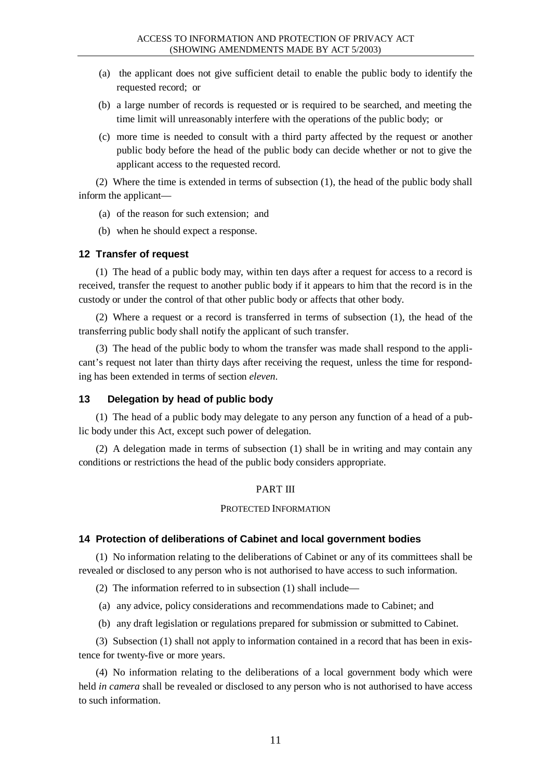- (a) the applicant does not give sufficient detail to enable the public body to identify the requested record; or
- (b) a large number of records is requested or is required to be searched, and meeting the time limit will unreasonably interfere with the operations of the public body; or
- (c) more time is needed to consult with a third party affected by the request or another public body before the head of the public body can decide whether or not to give the applicant access to the requested record.

(2) Where the time is extended in terms of subsection (1), the head of the public body shall inform the applicant—

- (a) of the reason for such extension; and
- (b) when he should expect a response.

### **12 Transfer of request**

(1) The head of a public body may, within ten days after a request for access to a record is received, transfer the request to another public body if it appears to him that the record is in the custody or under the control of that other public body or affects that other body.

(2) Where a request or a record is transferred in terms of subsection (1), the head of the transferring public body shall notify the applicant of such transfer.

(3) The head of the public body to whom the transfer was made shall respond to the applicant's request not later than thirty days after receiving the request, unless the time for responding has been extended in terms of section *eleven*.

### **13 Delegation by head of public body**

(1) The head of a public body may delegate to any person any function of a head of a public body under this Act, except such power of delegation.

(2) A delegation made in terms of subsection (1) shall be in writing and may contain any conditions or restrictions the head of the public body considers appropriate.

### PART III

#### PROTECTED INFORMATION

#### **14 Protection of deliberations of Cabinet and local government bodies**

(1) No information relating to the deliberations of Cabinet or any of its committees shall be revealed or disclosed to any person who is not authorised to have access to such information.

(2) The information referred to in subsection (1) shall include—

(a) any advice, policy considerations and recommendations made to Cabinet; and

(b) any draft legislation or regulations prepared for submission or submitted to Cabinet.

(3) Subsection (1) shall not apply to information contained in a record that has been in existence for twenty-five or more years.

(4) No information relating to the deliberations of a local government body which were held *in camera* shall be revealed or disclosed to any person who is not authorised to have access to such information.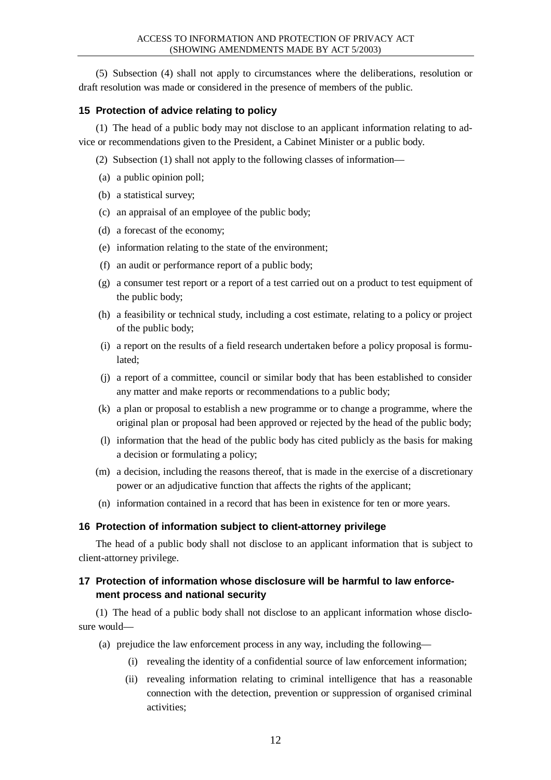(5) Subsection (4) shall not apply to circumstances where the deliberations, resolution or draft resolution was made or considered in the presence of members of the public.

### **15 Protection of advice relating to policy**

(1) The head of a public body may not disclose to an applicant information relating to advice or recommendations given to the President, a Cabinet Minister or a public body.

- (2) Subsection (1) shall not apply to the following classes of information—
- (a) a public opinion poll;
- (b) a statistical survey;
- (c) an appraisal of an employee of the public body;
- (d) a forecast of the economy;
- (e) information relating to the state of the environment;
- (f) an audit or performance report of a public body;
- (g) a consumer test report or a report of a test carried out on a product to test equipment of the public body;
- (h) a feasibility or technical study, including a cost estimate, relating to a policy or project of the public body;
- (i) a report on the results of a field research undertaken before a policy proposal is formulated;
- (j) a report of a committee, council or similar body that has been established to consider any matter and make reports or recommendations to a public body;
- (k) a plan or proposal to establish a new programme or to change a programme, where the original plan or proposal had been approved or rejected by the head of the public body;
- (l) information that the head of the public body has cited publicly as the basis for making a decision or formulating a policy;
- (m) a decision, including the reasons thereof, that is made in the exercise of a discretionary power or an adjudicative function that affects the rights of the applicant;
- (n) information contained in a record that has been in existence for ten or more years.

# **16 Protection of information subject to client-attorney privilege**

The head of a public body shall not disclose to an applicant information that is subject to client-attorney privilege.

# **17 Protection of information whose disclosure will be harmful to law enforcement process and national security**

(1) The head of a public body shall not disclose to an applicant information whose disclosure would—

- (a) prejudice the law enforcement process in any way, including the following—
	- (i) revealing the identity of a confidential source of law enforcement information;
	- (ii) revealing information relating to criminal intelligence that has a reasonable connection with the detection, prevention or suppression of organised criminal activities;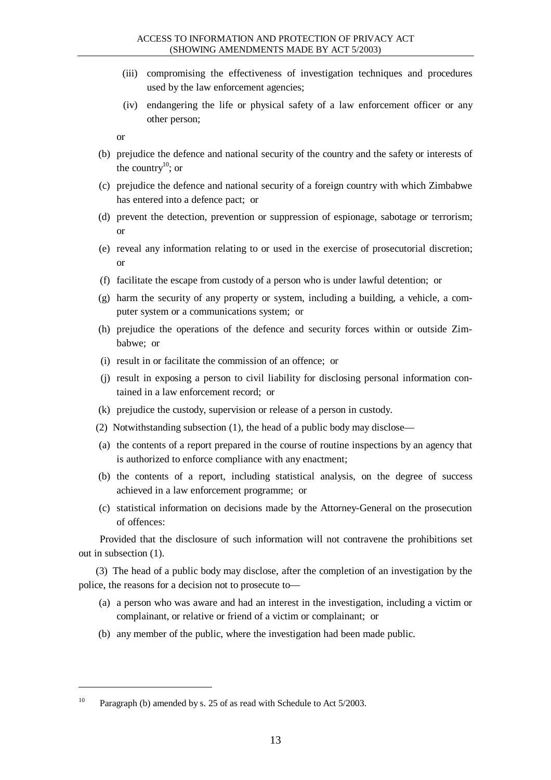- (iii) compromising the effectiveness of investigation techniques and procedures used by the law enforcement agencies;
- (iv) endangering the life or physical safety of a law enforcement officer or any other person;

or

- (b) prejudice the defence and national security of the country and the safety or interests of the country<sup>10</sup>; or
- (c) prejudice the defence and national security of a foreign country with which Zimbabwe has entered into a defence pact; or
- (d) prevent the detection, prevention or suppression of espionage, sabotage or terrorism; or
- (e) reveal any information relating to or used in the exercise of prosecutorial discretion; or
- (f) facilitate the escape from custody of a person who is under lawful detention; or
- (g) harm the security of any property or system, including a building, a vehicle, a computer system or a communications system; or
- (h) prejudice the operations of the defence and security forces within or outside Zimbabwe; or
- (i) result in or facilitate the commission of an offence; or
- (j) result in exposing a person to civil liability for disclosing personal information contained in a law enforcement record; or
- (k) prejudice the custody, supervision or release of a person in custody.
- (2) Notwithstanding subsection (1), the head of a public body may disclose—
- (a) the contents of a report prepared in the course of routine inspections by an agency that is authorized to enforce compliance with any enactment;
- (b) the contents of a report, including statistical analysis, on the degree of success achieved in a law enforcement programme; or
- (c) statistical information on decisions made by the Attorney-General on the prosecution of offences:

Provided that the disclosure of such information will not contravene the prohibitions set out in subsection (1).

(3) The head of a public body may disclose, after the completion of an investigation by the police, the reasons for a decision not to prosecute to—

- (a) a person who was aware and had an interest in the investigation, including a victim or complainant, or relative or friend of a victim or complainant; or
- (b) any member of the public, where the investigation had been made public.

<sup>&</sup>lt;sup>10</sup> Paragraph (b) amended by s. 25 of as read with Schedule to Act 5/2003.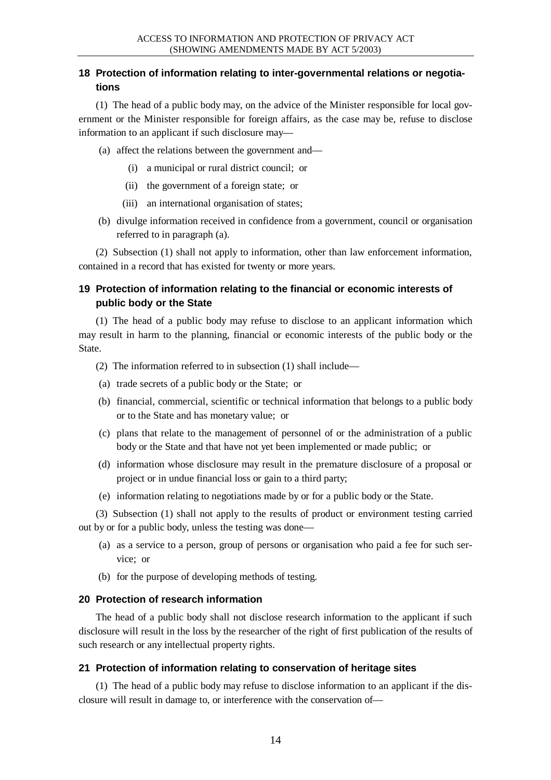# **18 Protection of information relating to inter-governmental relations or negotiations**

(1) The head of a public body may, on the advice of the Minister responsible for local government or the Minister responsible for foreign affairs, as the case may be, refuse to disclose information to an applicant if such disclosure may—

- (a) affect the relations between the government and—
	- (i) a municipal or rural district council; or
	- (ii) the government of a foreign state; or
	- (iii) an international organisation of states;
- (b) divulge information received in confidence from a government, council or organisation referred to in paragraph (a).

(2) Subsection (1) shall not apply to information, other than law enforcement information, contained in a record that has existed for twenty or more years.

# **19 Protection of information relating to the financial or economic interests of public body or the State**

(1) The head of a public body may refuse to disclose to an applicant information which may result in harm to the planning, financial or economic interests of the public body or the State.

- (2) The information referred to in subsection (1) shall include—
- (a) trade secrets of a public body or the State; or
- (b) financial, commercial, scientific or technical information that belongs to a public body or to the State and has monetary value; or
- (c) plans that relate to the management of personnel of or the administration of a public body or the State and that have not yet been implemented or made public; or
- (d) information whose disclosure may result in the premature disclosure of a proposal or project or in undue financial loss or gain to a third party;
- (e) information relating to negotiations made by or for a public body or the State.

(3) Subsection (1) shall not apply to the results of product or environment testing carried out by or for a public body, unless the testing was done—

- (a) as a service to a person, group of persons or organisation who paid a fee for such service; or
- (b) for the purpose of developing methods of testing.

### **20 Protection of research information**

The head of a public body shall not disclose research information to the applicant if such disclosure will result in the loss by the researcher of the right of first publication of the results of such research or any intellectual property rights.

### **21 Protection of information relating to conservation of heritage sites**

(1) The head of a public body may refuse to disclose information to an applicant if the disclosure will result in damage to, or interference with the conservation of—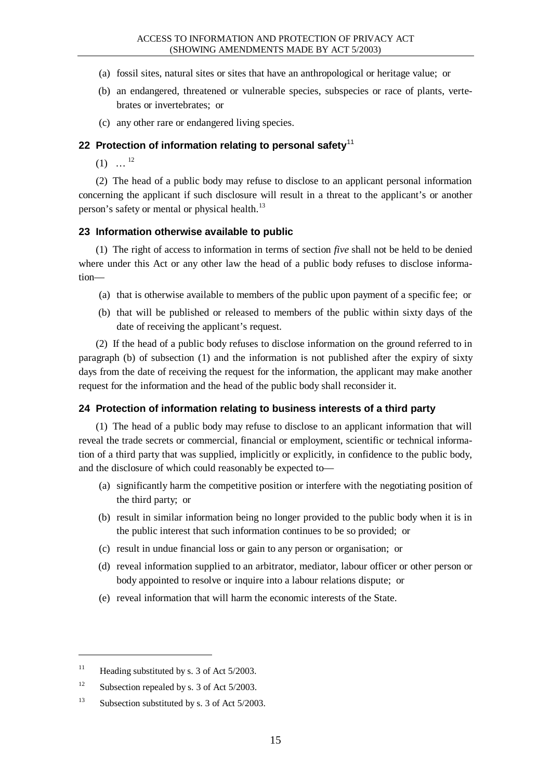- (a) fossil sites, natural sites or sites that have an anthropological or heritage value; or
- (b) an endangered, threatened or vulnerable species, subspecies or race of plants, vertebrates or invertebrates; or
- (c) any other rare or endangered living species.

#### **22 Protection of information relating to personal safety**<sup>11</sup>

 $(1) \dots$ <sup>12</sup>

(2) The head of a public body may refuse to disclose to an applicant personal information concerning the applicant if such disclosure will result in a threat to the applicant's or another person's safety or mental or physical health. $^{13}$ 

#### **23 Information otherwise available to public**

(1) The right of access to information in terms of section *five* shall not be held to be denied where under this Act or any other law the head of a public body refuses to disclose information—

- (a) that is otherwise available to members of the public upon payment of a specific fee; or
- (b) that will be published or released to members of the public within sixty days of the date of receiving the applicant's request.

(2) If the head of a public body refuses to disclose information on the ground referred to in paragraph (b) of subsection (1) and the information is not published after the expiry of sixty days from the date of receiving the request for the information, the applicant may make another request for the information and the head of the public body shall reconsider it.

#### **24 Protection of information relating to business interests of a third party**

(1) The head of a public body may refuse to disclose to an applicant information that will reveal the trade secrets or commercial, financial or employment, scientific or technical information of a third party that was supplied, implicitly or explicitly, in confidence to the public body, and the disclosure of which could reasonably be expected to—

- (a) significantly harm the competitive position or interfere with the negotiating position of the third party; or
- (b) result in similar information being no longer provided to the public body when it is in the public interest that such information continues to be so provided; or
- (c) result in undue financial loss or gain to any person or organisation; or
- (d) reveal information supplied to an arbitrator, mediator, labour officer or other person or body appointed to resolve or inquire into a labour relations dispute; or
- (e) reveal information that will harm the economic interests of the State.

<sup>&</sup>lt;sup>11</sup> Heading substituted by s. 3 of Act  $5/2003$ .

<sup>&</sup>lt;sup>12</sup> Subsection repealed by s. 3 of Act  $5/2003$ .

<sup>&</sup>lt;sup>13</sup> Subsection substituted by s. 3 of Act  $5/2003$ .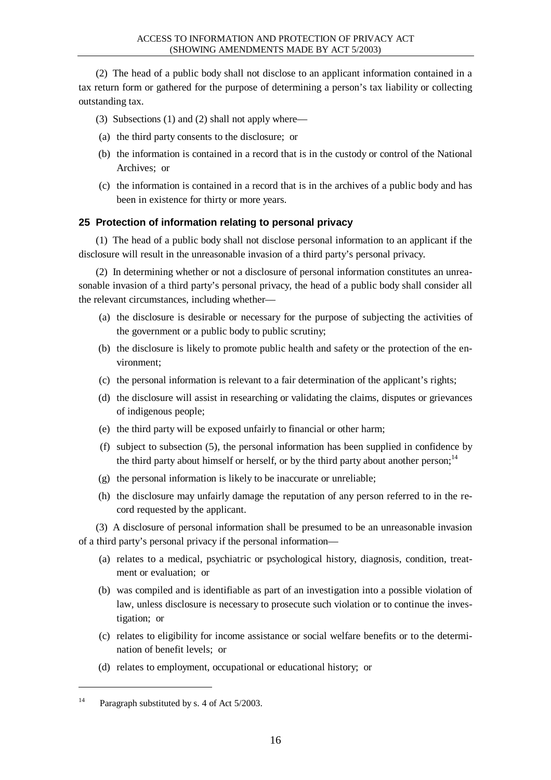(2) The head of a public body shall not disclose to an applicant information contained in a tax return form or gathered for the purpose of determining a person's tax liability or collecting outstanding tax.

- (3) Subsections (1) and (2) shall not apply where—
- (a) the third party consents to the disclosure; or
- (b) the information is contained in a record that is in the custody or control of the National Archives; or
- (c) the information is contained in a record that is in the archives of a public body and has been in existence for thirty or more years.

# **25 Protection of information relating to personal privacy**

(1) The head of a public body shall not disclose personal information to an applicant if the disclosure will result in the unreasonable invasion of a third party's personal privacy.

(2) In determining whether or not a disclosure of personal information constitutes an unreasonable invasion of a third party's personal privacy, the head of a public body shall consider all the relevant circumstances, including whether—

- (a) the disclosure is desirable or necessary for the purpose of subjecting the activities of the government or a public body to public scrutiny;
- (b) the disclosure is likely to promote public health and safety or the protection of the environment;
- (c) the personal information is relevant to a fair determination of the applicant's rights;
- (d) the disclosure will assist in researching or validating the claims, disputes or grievances of indigenous people;
- (e) the third party will be exposed unfairly to financial or other harm;
- (f) subject to subsection (5), the personal information has been supplied in confidence by the third party about himself or herself, or by the third party about another person;<sup>14</sup>
- (g) the personal information is likely to be inaccurate or unreliable;
- (h) the disclosure may unfairly damage the reputation of any person referred to in the record requested by the applicant.

(3) A disclosure of personal information shall be presumed to be an unreasonable invasion of a third party's personal privacy if the personal information—

- (a) relates to a medical, psychiatric or psychological history, diagnosis, condition, treatment or evaluation; or
- (b) was compiled and is identifiable as part of an investigation into a possible violation of law, unless disclosure is necessary to prosecute such violation or to continue the investigation; or
- (c) relates to eligibility for income assistance or social welfare benefits or to the determination of benefit levels; or
- (d) relates to employment, occupational or educational history; or

<sup>&</sup>lt;sup>14</sup> Paragraph substituted by s. 4 of Act 5/2003.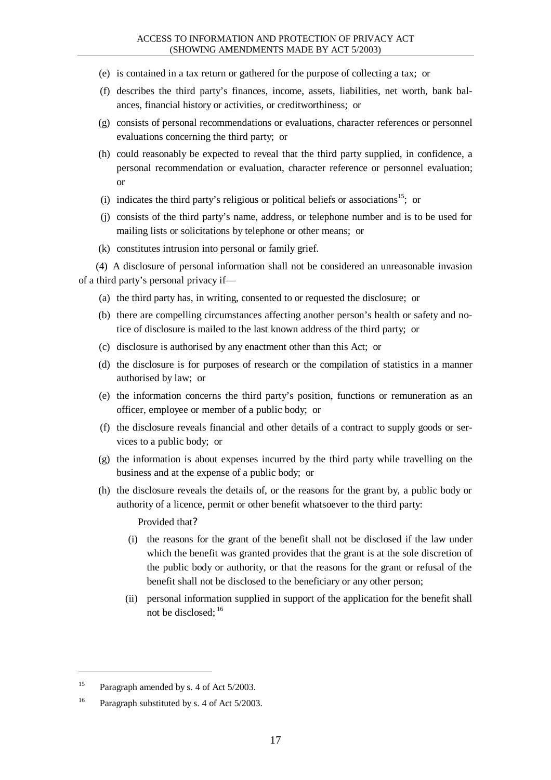- (e) is contained in a tax return or gathered for the purpose of collecting a tax; or
- (f) describes the third party's finances, income, assets, liabilities, net worth, bank balances, financial history or activities, or creditworthiness; or
- (g) consists of personal recommendations or evaluations, character references or personnel evaluations concerning the third party; or
- (h) could reasonably be expected to reveal that the third party supplied, in confidence, a personal recommendation or evaluation, character reference or personnel evaluation; or
- (i) indicates the third party's religious or political beliefs or associations<sup>15</sup>; or
- (j) consists of the third party's name, address, or telephone number and is to be used for mailing lists or solicitations by telephone or other means; or
- (k) constitutes intrusion into personal or family grief.

(4) A disclosure of personal information shall not be considered an unreasonable invasion of a third party's personal privacy if—

- (a) the third party has, in writing, consented to or requested the disclosure; or
- (b) there are compelling circumstances affecting another person's health or safety and notice of disclosure is mailed to the last known address of the third party; or
- (c) disclosure is authorised by any enactment other than this Act; or
- (d) the disclosure is for purposes of research or the compilation of statistics in a manner authorised by law; or
- (e) the information concerns the third party's position, functions or remuneration as an officer, employee or member of a public body; or
- (f) the disclosure reveals financial and other details of a contract to supply goods or services to a public body; or
- (g) the information is about expenses incurred by the third party while travelling on the business and at the expense of a public body; or
- (h) the disclosure reveals the details of, or the reasons for the grant by, a public body or authority of a licence, permit or other benefit whatsoever to the third party:

Provided that?

- (i) the reasons for the grant of the benefit shall not be disclosed if the law under which the benefit was granted provides that the grant is at the sole discretion of the public body or authority, or that the reasons for the grant or refusal of the benefit shall not be disclosed to the beneficiary or any other person;
- (ii) personal information supplied in support of the application for the benefit shall not be disclosed;  $^{16}$

 $\overline{a}$ 

<sup>&</sup>lt;sup>15</sup> Paragraph amended by s. 4 of Act 5/2003.

<sup>&</sup>lt;sup>16</sup> Paragraph substituted by s. 4 of Act 5/2003.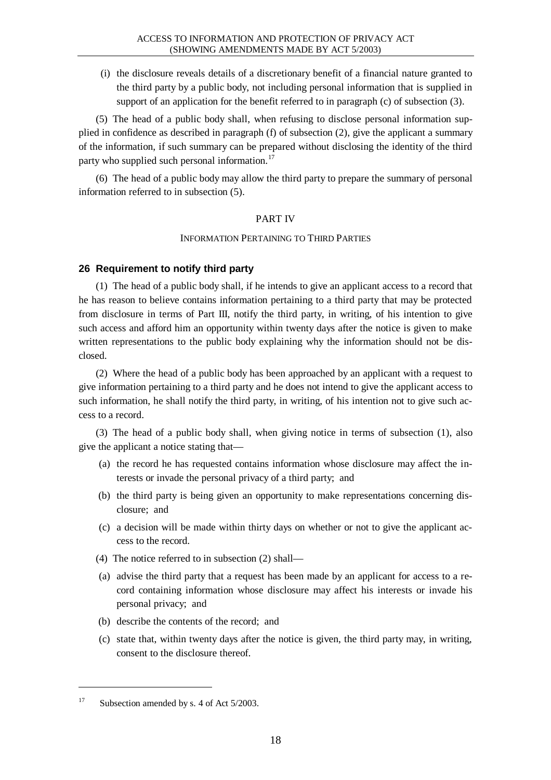(i) the disclosure reveals details of a discretionary benefit of a financial nature granted to the third party by a public body, not including personal information that is supplied in support of an application for the benefit referred to in paragraph (c) of subsection (3).

(5) The head of a public body shall, when refusing to disclose personal information supplied in confidence as described in paragraph (f) of subsection (2), give the applicant a summary of the information, if such summary can be prepared without disclosing the identity of the third party who supplied such personal information.<sup>17</sup>

(6) The head of a public body may allow the third party to prepare the summary of personal information referred to in subsection (5).

### PART IV

### INFORMATION PERTAINING TO THIRD PARTIES

# **26 Requirement to notify third party**

(1) The head of a public body shall, if he intends to give an applicant access to a record that he has reason to believe contains information pertaining to a third party that may be protected from disclosure in terms of Part III, notify the third party, in writing, of his intention to give such access and afford him an opportunity within twenty days after the notice is given to make written representations to the public body explaining why the information should not be disclosed.

(2) Where the head of a public body has been approached by an applicant with a request to give information pertaining to a third party and he does not intend to give the applicant access to such information, he shall notify the third party, in writing, of his intention not to give such access to a record.

(3) The head of a public body shall, when giving notice in terms of subsection (1), also give the applicant a notice stating that—

- (a) the record he has requested contains information whose disclosure may affect the interests or invade the personal privacy of a third party; and
- (b) the third party is being given an opportunity to make representations concerning disclosure; and
- (c) a decision will be made within thirty days on whether or not to give the applicant access to the record.
- (4) The notice referred to in subsection (2) shall—
- (a) advise the third party that a request has been made by an applicant for access to a record containing information whose disclosure may affect his interests or invade his personal privacy; and
- (b) describe the contents of the record; and
- (c) state that, within twenty days after the notice is given, the third party may, in writing, consent to the disclosure thereof.

<sup>&</sup>lt;sup>17</sup> Subsection amended by s. 4 of Act  $5/2003$ .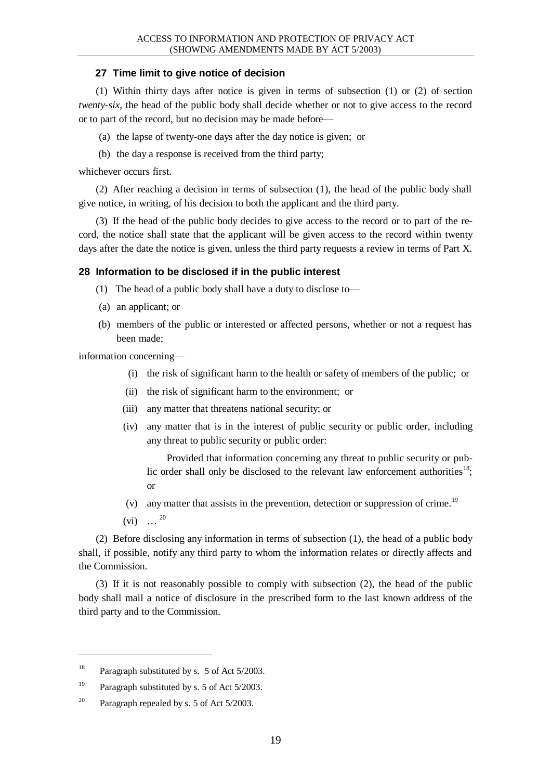### **27 Time limit to give notice of decision**

(1) Within thirty days after notice is given in terms of subsection (1) or (2) of section *twenty-six*, the head of the public body shall decide whether or not to give access to the record or to part of the record, but no decision may be made before—

- (a) the lapse of twenty-one days after the day notice is given; or
- (b) the day a response is received from the third party;

whichever occurs first.

(2) After reaching a decision in terms of subsection (1), the head of the public body shall give notice, in writing, of his decision to both the applicant and the third party.

(3) If the head of the public body decides to give access to the record or to part of the record, the notice shall state that the applicant will be given access to the record within twenty days after the date the notice is given, unless the third party requests a review in terms of Part X.

### **28 Information to be disclosed if in the public interest**

- (1) The head of a public body shall have a duty to disclose to—
- (a) an applicant; or
- (b) members of the public or interested or affected persons, whether or not a request has been made;

information concerning—

- (i) the risk of significant harm to the health or safety of members of the public; or
- (ii) the risk of significant harm to the environment; or
- (iii) any matter that threatens national security; or
- (iv) any matter that is in the interest of public security or public order, including any threat to public security or public order:

Provided that information concerning any threat to public security or public order shall only be disclosed to the relevant law enforcement authorities<sup>18</sup>; or

- (v) any matter that assists in the prevention, detection or suppression of crime.<sup>19</sup>
- $(vi) \dots^{20}$

l

(2) Before disclosing any information in terms of subsection (1), the head of a public body shall, if possible, notify any third party to whom the information relates or directly affects and the Commission.

(3) If it is not reasonably possible to comply with subsection (2), the head of the public body shall mail a notice of disclosure in the prescribed form to the last known address of the third party and to the Commission.

<sup>&</sup>lt;sup>18</sup> Paragraph substituted by s. 5 of Act  $5/2003$ .

<sup>&</sup>lt;sup>19</sup> Paragraph substituted by s. 5 of Act  $5/2003$ .

<sup>&</sup>lt;sup>20</sup> Paragraph repealed by s. 5 of Act  $5/2003$ .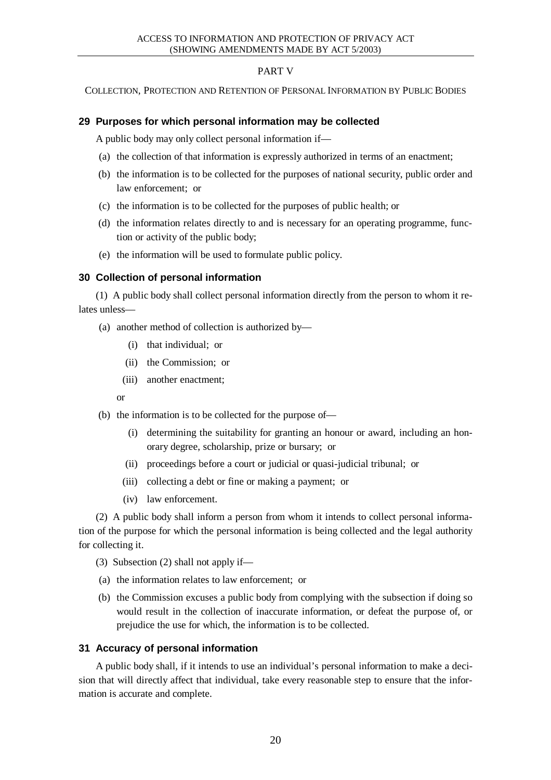# PART V

COLLECTION, PROTECTION AND RETENTION OF PERSONAL INFORMATION BY PUBLIC BODIES

### **29 Purposes for which personal information may be collected**

A public body may only collect personal information if—

- (a) the collection of that information is expressly authorized in terms of an enactment;
- (b) the information is to be collected for the purposes of national security, public order and law enforcement; or
- (c) the information is to be collected for the purposes of public health; or
- (d) the information relates directly to and is necessary for an operating programme, function or activity of the public body;
- (e) the information will be used to formulate public policy.

### **30 Collection of personal information**

(1) A public body shall collect personal information directly from the person to whom it relates unless—

- (a) another method of collection is authorized by—
	- (i) that individual; or
	- (ii) the Commission; or
	- (iii) another enactment;

or

- (b) the information is to be collected for the purpose of—
	- (i) determining the suitability for granting an honour or award, including an honorary degree, scholarship, prize or bursary; or
	- (ii) proceedings before a court or judicial or quasi-judicial tribunal; or
	- (iii) collecting a debt or fine or making a payment; or
	- (iv) law enforcement.

(2) A public body shall inform a person from whom it intends to collect personal information of the purpose for which the personal information is being collected and the legal authority for collecting it.

- (3) Subsection (2) shall not apply if—
- (a) the information relates to law enforcement; or
- (b) the Commission excuses a public body from complying with the subsection if doing so would result in the collection of inaccurate information, or defeat the purpose of, or prejudice the use for which, the information is to be collected.

### **31 Accuracy of personal information**

A public body shall, if it intends to use an individual's personal information to make a decision that will directly affect that individual, take every reasonable step to ensure that the information is accurate and complete.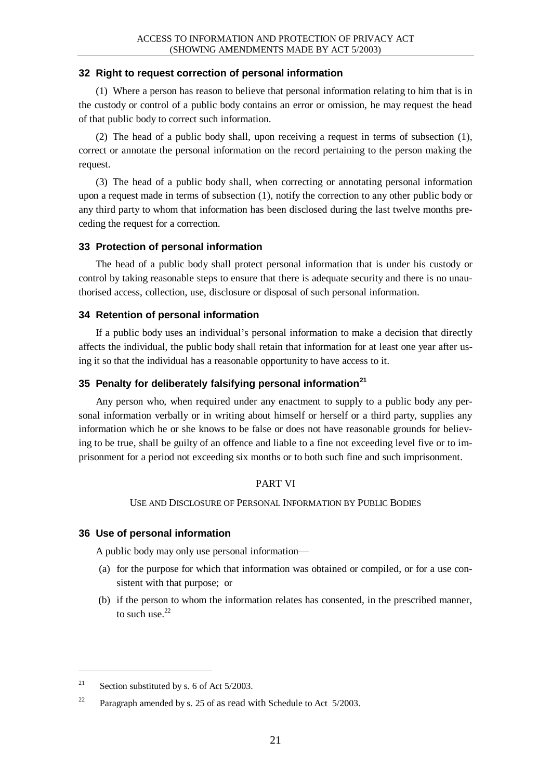### **32 Right to request correction of personal information**

(1) Where a person has reason to believe that personal information relating to him that is in the custody or control of a public body contains an error or omission, he may request the head of that public body to correct such information.

(2) The head of a public body shall, upon receiving a request in terms of subsection (1), correct or annotate the personal information on the record pertaining to the person making the request.

(3) The head of a public body shall, when correcting or annotating personal information upon a request made in terms of subsection (1), notify the correction to any other public body or any third party to whom that information has been disclosed during the last twelve months preceding the request for a correction.

# **33 Protection of personal information**

The head of a public body shall protect personal information that is under his custody or control by taking reasonable steps to ensure that there is adequate security and there is no unauthorised access, collection, use, disclosure or disposal of such personal information.

### **34 Retention of personal information**

If a public body uses an individual's personal information to make a decision that directly affects the individual, the public body shall retain that information for at least one year after using it so that the individual has a reasonable opportunity to have access to it.

### **35 Penalty for deliberately falsifying personal information<sup>21</sup>**

Any person who, when required under any enactment to supply to a public body any personal information verbally or in writing about himself or herself or a third party, supplies any information which he or she knows to be false or does not have reasonable grounds for believing to be true, shall be guilty of an offence and liable to a fine not exceeding level five or to imprisonment for a period not exceeding six months or to both such fine and such imprisonment.

### PART VI

### USE AND DISCLOSURE OF PERSONAL INFORMATION BY PUBLIC BODIES

# **36 Use of personal information**

A public body may only use personal information—

- (a) for the purpose for which that information was obtained or compiled, or for a use consistent with that purpose; or
- (b) if the person to whom the information relates has consented, in the prescribed manner, to such use. $22$

 $\overline{a}$ 

<sup>&</sup>lt;sup>21</sup> Section substituted by s. 6 of Act  $5/2003$ .

<sup>&</sup>lt;sup>22</sup> Paragraph amended by s. 25 of as read with Schedule to Act  $5/2003$ .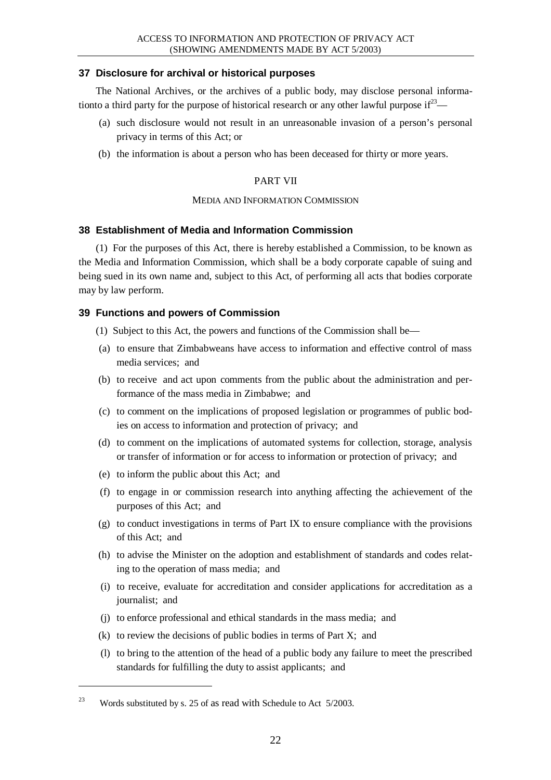### **37 Disclosure for archival or historical purposes**

The National Archives, or the archives of a public body, may disclose personal informationto a third party for the purpose of historical research or any other lawful purpose  $if^{23}$ 

- (a) such disclosure would not result in an unreasonable invasion of a person's personal privacy in terms of this Act; or
- (b) the information is about a person who has been deceased for thirty or more years.

### PART VII

### MEDIA AND INFORMATION COMMISSION

# **38 Establishment of Media and Information Commission**

(1) For the purposes of this Act, there is hereby established a Commission, to be known as the Media and Information Commission, which shall be a body corporate capable of suing and being sued in its own name and, subject to this Act, of performing all acts that bodies corporate may by law perform.

# **39 Functions and powers of Commission**

- (1) Subject to this Act, the powers and functions of the Commission shall be—
- (a) to ensure that Zimbabweans have access to information and effective control of mass media services; and
- (b) to receive and act upon comments from the public about the administration and performance of the mass media in Zimbabwe; and
- (c) to comment on the implications of proposed legislation or programmes of public bodies on access to information and protection of privacy; and
- (d) to comment on the implications of automated systems for collection, storage, analysis or transfer of information or for access to information or protection of privacy; and
- (e) to inform the public about this Act; and
- (f) to engage in or commission research into anything affecting the achievement of the purposes of this Act; and
- (g) to conduct investigations in terms of Part IX to ensure compliance with the provisions of this Act; and
- (h) to advise the Minister on the adoption and establishment of standards and codes relating to the operation of mass media; and
- (i) to receive, evaluate for accreditation and consider applications for accreditation as a journalist; and
- (j) to enforce professional and ethical standards in the mass media; and
- (k) to review the decisions of public bodies in terms of Part X; and
- (l) to bring to the attention of the head of a public body any failure to meet the prescribed standards for fulfilling the duty to assist applicants; and

<sup>&</sup>lt;sup>23</sup> Words substituted by s. 25 of as read with Schedule to Act  $5/2003$ .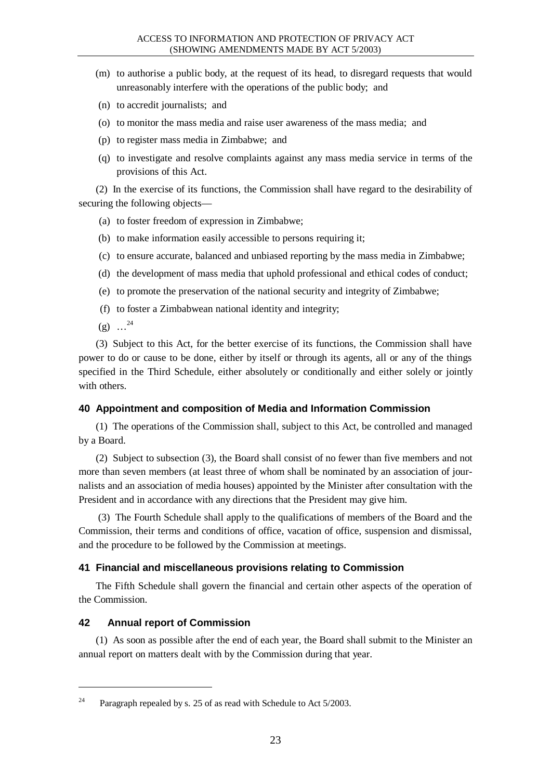- (m) to authorise a public body, at the request of its head, to disregard requests that would unreasonably interfere with the operations of the public body; and
- (n) to accredit journalists; and
- (o) to monitor the mass media and raise user awareness of the mass media; and
- (p) to register mass media in Zimbabwe; and
- (q) to investigate and resolve complaints against any mass media service in terms of the provisions of this Act.

(2) In the exercise of its functions, the Commission shall have regard to the desirability of securing the following objects—

- (a) to foster freedom of expression in Zimbabwe;
- (b) to make information easily accessible to persons requiring it;
- (c) to ensure accurate, balanced and unbiased reporting by the mass media in Zimbabwe;
- (d) the development of mass media that uphold professional and ethical codes of conduct;
- (e) to promote the preservation of the national security and integrity of Zimbabwe;
- (f) to foster a Zimbabwean national identity and integrity;
- $(g)$  ...<sup>24</sup>

(3) Subject to this Act, for the better exercise of its functions, the Commission shall have power to do or cause to be done, either by itself or through its agents, all or any of the things specified in the Third Schedule, either absolutely or conditionally and either solely or jointly with others.

### **40 Appointment and composition of Media and Information Commission**

(1) The operations of the Commission shall, subject to this Act, be controlled and managed by a Board.

(2) Subject to subsection (3), the Board shall consist of no fewer than five members and not more than seven members (at least three of whom shall be nominated by an association of journalists and an association of media houses) appointed by the Minister after consultation with the President and in accordance with any directions that the President may give him.

 (3) The Fourth Schedule shall apply to the qualifications of members of the Board and the Commission, their terms and conditions of office, vacation of office, suspension and dismissal, and the procedure to be followed by the Commission at meetings.

### **41 Financial and miscellaneous provisions relating to Commission**

The Fifth Schedule shall govern the financial and certain other aspects of the operation of the Commission.

### **42 Annual report of Commission**

l

(1) As soon as possible after the end of each year, the Board shall submit to the Minister an annual report on matters dealt with by the Commission during that year.

<sup>&</sup>lt;sup>24</sup> Paragraph repealed by s. 25 of as read with Schedule to Act  $5/2003$ .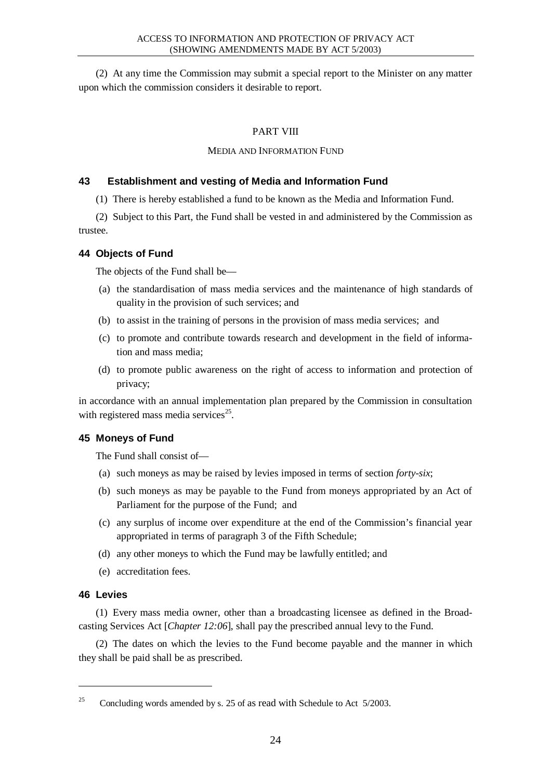(2) At any time the Commission may submit a special report to the Minister on any matter upon which the commission considers it desirable to report.

# PART VIII

### MEDIA AND INFORMATION FUND

# **43 Establishment and vesting of Media and Information Fund**

(1) There is hereby established a fund to be known as the Media and Information Fund.

(2) Subject to this Part, the Fund shall be vested in and administered by the Commission as trustee.

# **44 Objects of Fund**

The objects of the Fund shall be—

- (a) the standardisation of mass media services and the maintenance of high standards of quality in the provision of such services; and
- (b) to assist in the training of persons in the provision of mass media services; and
- (c) to promote and contribute towards research and development in the field of information and mass media;
- (d) to promote public awareness on the right of access to information and protection of privacy;

in accordance with an annual implementation plan prepared by the Commission in consultation with registered mass media services $25$ .

# **45 Moneys of Fund**

The Fund shall consist of—

- (a) such moneys as may be raised by levies imposed in terms of section *forty-six*;
- (b) such moneys as may be payable to the Fund from moneys appropriated by an Act of Parliament for the purpose of the Fund; and
- (c) any surplus of income over expenditure at the end of the Commission's financial year appropriated in terms of paragraph 3 of the Fifth Schedule;
- (d) any other moneys to which the Fund may be lawfully entitled; and
- (e) accreditation fees.

# **46 Levies**

l

(1) Every mass media owner, other than a broadcasting licensee as defined in the Broadcasting Services Act [*Chapter 12:06*], shall pay the prescribed annual levy to the Fund.

(2) The dates on which the levies to the Fund become payable and the manner in which they shall be paid shall be as prescribed.

<sup>&</sup>lt;sup>25</sup> Concluding words amended by s. 25 of as read with Schedule to Act  $5/2003$ .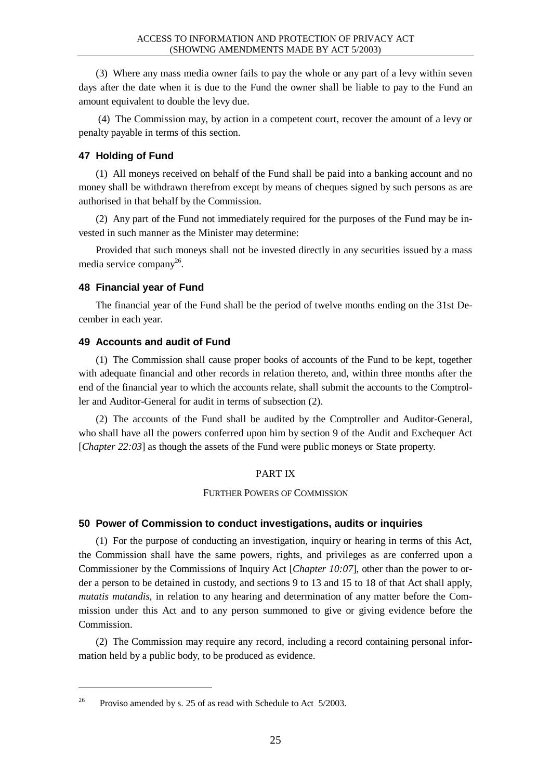(3) Where any mass media owner fails to pay the whole or any part of a levy within seven days after the date when it is due to the Fund the owner shall be liable to pay to the Fund an amount equivalent to double the levy due.

 (4) The Commission may, by action in a competent court, recover the amount of a levy or penalty payable in terms of this section.

### **47 Holding of Fund**

(1) All moneys received on behalf of the Fund shall be paid into a banking account and no money shall be withdrawn therefrom except by means of cheques signed by such persons as are authorised in that behalf by the Commission.

(2) Any part of the Fund not immediately required for the purposes of the Fund may be invested in such manner as the Minister may determine:

Provided that such moneys shall not be invested directly in any securities issued by a mass media service company<sup>26</sup>.

### **48 Financial year of Fund**

The financial year of the Fund shall be the period of twelve months ending on the 31st December in each year.

# **49 Accounts and audit of Fund**

(1) The Commission shall cause proper books of accounts of the Fund to be kept, together with adequate financial and other records in relation thereto, and, within three months after the end of the financial year to which the accounts relate, shall submit the accounts to the Comptroller and Auditor-General for audit in terms of subsection (2).

(2) The accounts of the Fund shall be audited by the Comptroller and Auditor-General, who shall have all the powers conferred upon him by section 9 of the Audit and Exchequer Act [*Chapter 22:03*] as though the assets of the Fund were public moneys or State property.

### PART IX

FURTHER POWERS OF COMMISSION

### **50 Power of Commission to conduct investigations, audits or inquiries**

(1) For the purpose of conducting an investigation, inquiry or hearing in terms of this Act, the Commission shall have the same powers, rights, and privileges as are conferred upon a Commissioner by the Commissions of Inquiry Act [*Chapter 10:07*], other than the power to order a person to be detained in custody, and sections 9 to 13 and 15 to 18 of that Act shall apply, *mutatis mutandis*, in relation to any hearing and determination of any matter before the Commission under this Act and to any person summoned to give or giving evidence before the Commission.

(2) The Commission may require any record, including a record containing personal information held by a public body, to be produced as evidence.

<sup>&</sup>lt;sup>26</sup> Proviso amended by s. 25 of as read with Schedule to Act  $5/2003$ .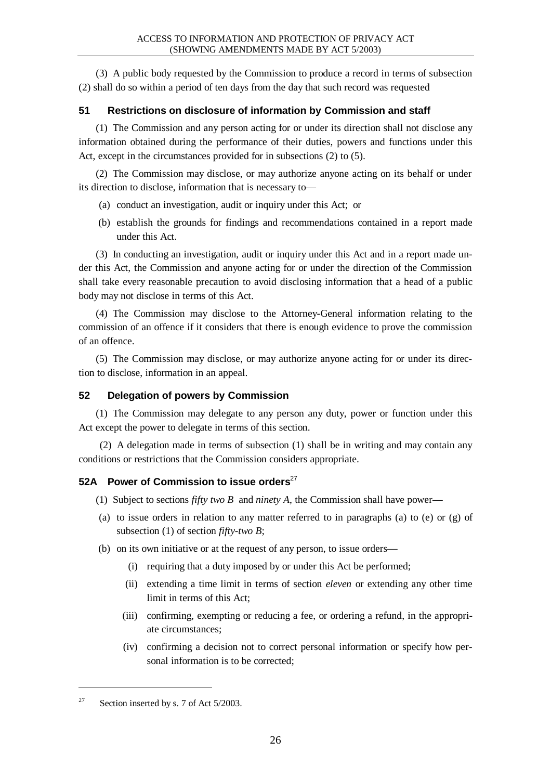(3) A public body requested by the Commission to produce a record in terms of subsection (2) shall do so within a period of ten days from the day that such record was requested

# **51 Restrictions on disclosure of information by Commission and staff**

(1) The Commission and any person acting for or under its direction shall not disclose any information obtained during the performance of their duties, powers and functions under this Act, except in the circumstances provided for in subsections (2) to (5).

(2) The Commission may disclose, or may authorize anyone acting on its behalf or under its direction to disclose, information that is necessary to—

- (a) conduct an investigation, audit or inquiry under this Act; or
- (b) establish the grounds for findings and recommendations contained in a report made under this Act.

(3) In conducting an investigation, audit or inquiry under this Act and in a report made under this Act, the Commission and anyone acting for or under the direction of the Commission shall take every reasonable precaution to avoid disclosing information that a head of a public body may not disclose in terms of this Act.

(4) The Commission may disclose to the Attorney-General information relating to the commission of an offence if it considers that there is enough evidence to prove the commission of an offence.

(5) The Commission may disclose, or may authorize anyone acting for or under its direction to disclose, information in an appeal.

# **52 Delegation of powers by Commission**

(1) The Commission may delegate to any person any duty, power or function under this Act except the power to delegate in terms of this section.

(2) A delegation made in terms of subsection (1) shall be in writing and may contain any conditions or restrictions that the Commission considers appropriate.

# **52A Power of Commission to issue orders**<sup>27</sup>

- (1) Subject to sections *fifty two B* and *ninety A*, the Commission shall have power—
- (a) to issue orders in relation to any matter referred to in paragraphs (a) to (e) or (g) of subsection (1) of section *fifty-two B*;
- (b) on its own initiative or at the request of any person, to issue orders—
	- (i) requiring that a duty imposed by or under this Act be performed;
	- (ii) extending a time limit in terms of section *eleven* or extending any other time limit in terms of this Act;
	- (iii) confirming, exempting or reducing a fee, or ordering a refund, in the appropriate circumstances;
	- (iv) confirming a decision not to correct personal information or specify how personal information is to be corrected;

<sup>&</sup>lt;sup>27</sup> Section inserted by s. 7 of Act  $5/2003$ .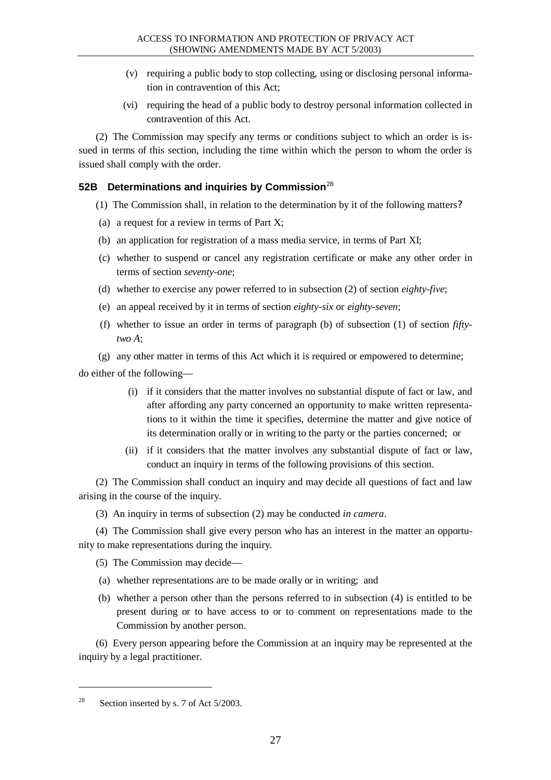- (v) requiring a public body to stop collecting, using or disclosing personal information in contravention of this Act;
- (vi) requiring the head of a public body to destroy personal information collected in contravention of this Act.

(2) The Commission may specify any terms or conditions subject to which an order is issued in terms of this section, including the time within which the person to whom the order is issued shall comply with the order.

# **52B Determinations and inquiries by Commission**<sup>28</sup>

- (1) The Commission shall, in relation to the determination by it of the following matters?
- (a) a request for a review in terms of Part X;
- (b) an application for registration of a mass media service, in terms of Part XI;
- (c) whether to suspend or cancel any registration certificate or make any other order in terms of section *seventy-one*;
- (d) whether to exercise any power referred to in subsection (2) of section *eighty-five*;
- (e) an appeal received by it in terms of section *eighty-six* or *eighty-seven*;
- (f) whether to issue an order in terms of paragraph (b) of subsection (1) of section *fiftytwo A*;

(g) any other matter in terms of this Act which it is required or empowered to determine;

do either of the following—

- (i) if it considers that the matter involves no substantial dispute of fact or law, and after affording any party concerned an opportunity to make written representations to it within the time it specifies, determine the matter and give notice of its determination orally or in writing to the party or the parties concerned; or
- (ii) if it considers that the matter involves any substantial dispute of fact or law, conduct an inquiry in terms of the following provisions of this section.

(2) The Commission shall conduct an inquiry and may decide all questions of fact and law arising in the course of the inquiry.

(3) An inquiry in terms of subsection (2) may be conducted *in camera*.

(4) The Commission shall give every person who has an interest in the matter an opportunity to make representations during the inquiry.

(5) The Commission may decide—

- (a) whether representations are to be made orally or in writing; and
- (b) whether a person other than the persons referred to in subsection (4) is entitled to be present during or to have access to or to comment on representations made to the Commission by another person.

(6) Every person appearing before the Commission at an inquiry may be represented at the inquiry by a legal practitioner.

<sup>&</sup>lt;sup>28</sup> Section inserted by s. 7 of Act  $5/2003$ .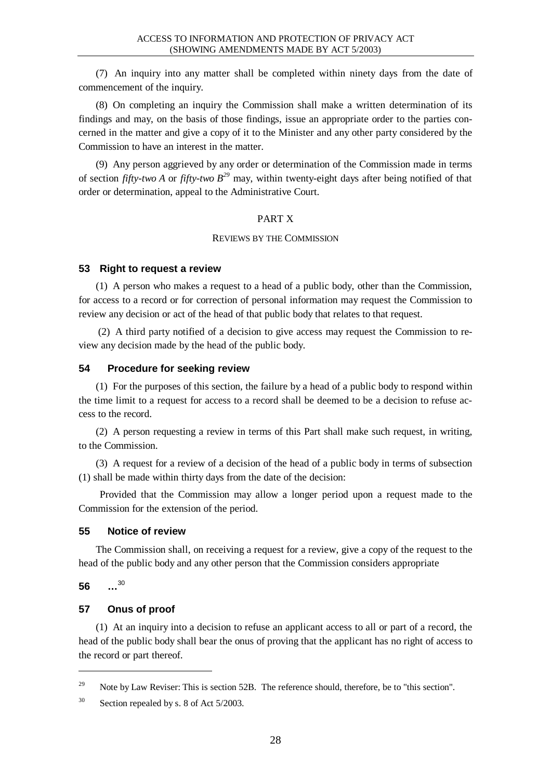(7) An inquiry into any matter shall be completed within ninety days from the date of commencement of the inquiry.

(8) On completing an inquiry the Commission shall make a written determination of its findings and may, on the basis of those findings, issue an appropriate order to the parties concerned in the matter and give a copy of it to the Minister and any other party considered by the Commission to have an interest in the matter.

(9) Any person aggrieved by any order or determination of the Commission made in terms of section *fifty-two A* or *fifty-two B <sup>29</sup>* may, within twenty-eight days after being notified of that order or determination, appeal to the Administrative Court.

### PART X

#### REVIEWS BY THE COMMISSION

#### **53 Right to request a review**

(1) A person who makes a request to a head of a public body, other than the Commission, for access to a record or for correction of personal information may request the Commission to review any decision or act of the head of that public body that relates to that request.

 (2) A third party notified of a decision to give access may request the Commission to review any decision made by the head of the public body.

#### **54 Procedure for seeking review**

(1) For the purposes of this section, the failure by a head of a public body to respond within the time limit to a request for access to a record shall be deemed to be a decision to refuse access to the record.

(2) A person requesting a review in terms of this Part shall make such request, in writing, to the Commission.

(3) A request for a review of a decision of the head of a public body in terms of subsection (1) shall be made within thirty days from the date of the decision:

Provided that the Commission may allow a longer period upon a request made to the Commission for the extension of the period.

### **55 Notice of review**

The Commission shall, on receiving a request for a review, give a copy of the request to the head of the public body and any other person that the Commission considers appropriate

**56 …** 30

 $\overline{a}$ 

### **57 Onus of proof**

(1) At an inquiry into a decision to refuse an applicant access to all or part of a record, the head of the public body shall bear the onus of proving that the applicant has no right of access to the record or part thereof.

<sup>&</sup>lt;sup>29</sup> Note by Law Reviser: This is section 52B. The reference should, therefore, be to "this section".

 $30$  Section repealed by s. 8 of Act 5/2003.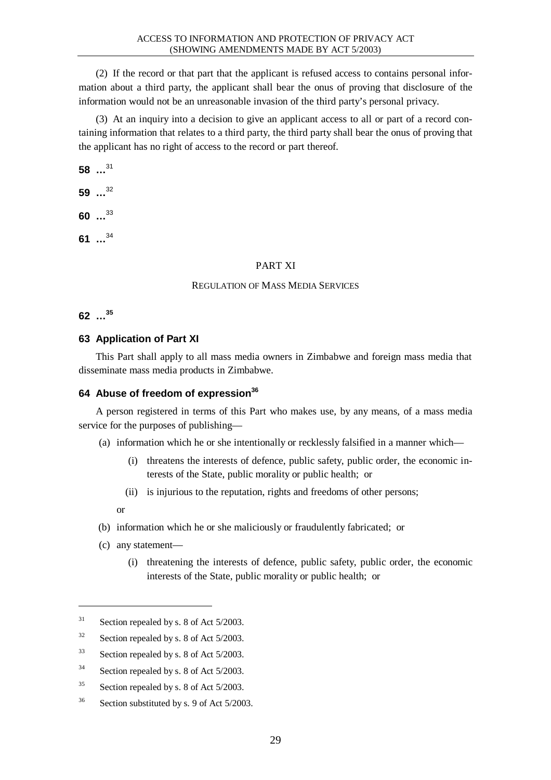(2) If the record or that part that the applicant is refused access to contains personal information about a third party, the applicant shall bear the onus of proving that disclosure of the information would not be an unreasonable invasion of the third party's personal privacy.

(3) At an inquiry into a decision to give an applicant access to all or part of a record containing information that relates to a third party, the third party shall bear the onus of proving that the applicant has no right of access to the record or part thereof.

**58 …** 31

**59 …** 32

**60 …** 33

**61 …** 34

### PART XI

### REGULATION OF MASS MEDIA SERVICES

**62 … 35**

# **63 Application of Part XI**

This Part shall apply to all mass media owners in Zimbabwe and foreign mass media that disseminate mass media products in Zimbabwe.

# **64 Abuse of freedom of expression<sup>36</sup>**

A person registered in terms of this Part who makes use, by any means, of a mass media service for the purposes of publishing—

- (a) information which he or she intentionally or recklessly falsified in a manner which—
	- (i) threatens the interests of defence, public safety, public order, the economic interests of the State, public morality or public health; or
	- (ii) is injurious to the reputation, rights and freedoms of other persons;

or

 $\overline{a}$ 

- (b) information which he or she maliciously or fraudulently fabricated; or
- (c) any statement—
	- (i) threatening the interests of defence, public safety, public order, the economic interests of the State, public morality or public health; or

<sup>36</sup> Section substituted by s. 9 of Act 5/2003.

 $31$  Section repealed by s. 8 of Act 5/2003.

 $32$  Section repealed by s. 8 of Act 5/2003.

 $33$  Section repealed by s. 8 of Act 5/2003.

<sup>&</sup>lt;sup>34</sup> Section repealed by s. 8 of Act 5/2003.

<sup>&</sup>lt;sup>35</sup> Section repealed by s. 8 of Act 5/2003.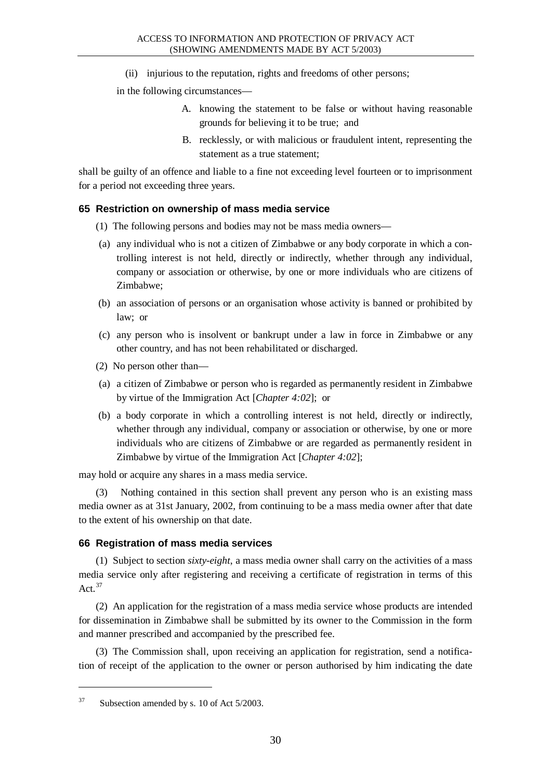(ii) injurious to the reputation, rights and freedoms of other persons;

in the following circumstances—

- A. knowing the statement to be false or without having reasonable grounds for believing it to be true; and
- B. recklessly, or with malicious or fraudulent intent, representing the statement as a true statement;

shall be guilty of an offence and liable to a fine not exceeding level fourteen or to imprisonment for a period not exceeding three years.

# **65 Restriction on ownership of mass media service**

- (1) The following persons and bodies may not be mass media owners—
- (a) any individual who is not a citizen of Zimbabwe or any body corporate in which a controlling interest is not held, directly or indirectly, whether through any individual, company or association or otherwise, by one or more individuals who are citizens of Zimbabwe;
- (b) an association of persons or an organisation whose activity is banned or prohibited by law; or
- (c) any person who is insolvent or bankrupt under a law in force in Zimbabwe or any other country, and has not been rehabilitated or discharged.
- (2) No person other than—
- (a) a citizen of Zimbabwe or person who is regarded as permanently resident in Zimbabwe by virtue of the Immigration Act [*Chapter 4:02*]; or
- (b) a body corporate in which a controlling interest is not held, directly or indirectly, whether through any individual, company or association or otherwise, by one or more individuals who are citizens of Zimbabwe or are regarded as permanently resident in Zimbabwe by virtue of the Immigration Act [*Chapter 4:02*];

may hold or acquire any shares in a mass media service.

(3) Nothing contained in this section shall prevent any person who is an existing mass media owner as at 31st January, 2002, from continuing to be a mass media owner after that date to the extent of his ownership on that date.

# **66 Registration of mass media services**

(1) Subject to section *sixty-eight*, a mass media owner shall carry on the activities of a mass media service only after registering and receiving a certificate of registration in terms of this Act*.* 37

(2) An application for the registration of a mass media service whose products are intended for dissemination in Zimbabwe shall be submitted by its owner to the Commission in the form and manner prescribed and accompanied by the prescribed fee.

(3) The Commission shall, upon receiving an application for registration, send a notification of receipt of the application to the owner or person authorised by him indicating the date

<sup>&</sup>lt;sup>37</sup> Subsection amended by s. 10 of Act 5/2003.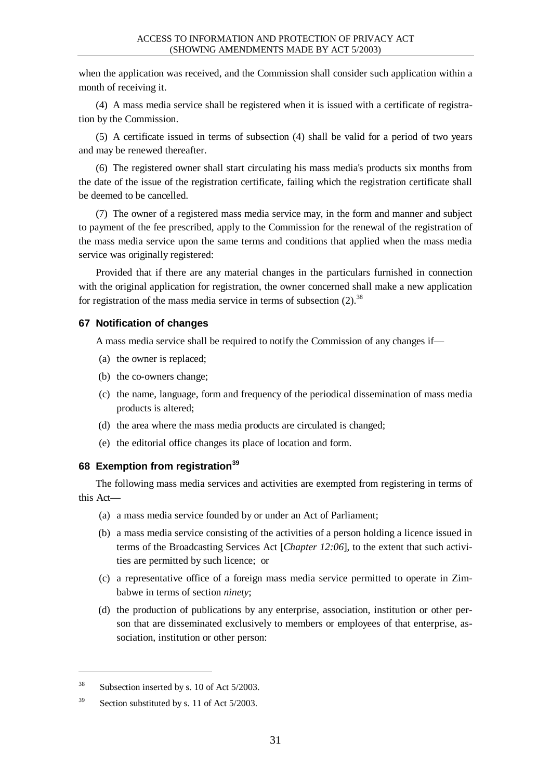when the application was received, and the Commission shall consider such application within a month of receiving it.

(4) A mass media service shall be registered when it is issued with a certificate of registration by the Commission.

(5) A certificate issued in terms of subsection (4) shall be valid for a period of two years and may be renewed thereafter.

(6) The registered owner shall start circulating his mass media's products six months from the date of the issue of the registration certificate, failing which the registration certificate shall be deemed to be cancelled.

(7) The owner of a registered mass media service may, in the form and manner and subject to payment of the fee prescribed, apply to the Commission for the renewal of the registration of the mass media service upon the same terms and conditions that applied when the mass media service was originally registered:

Provided that if there are any material changes in the particulars furnished in connection with the original application for registration, the owner concerned shall make a new application for registration of the mass media service in terms of subsection  $(2)$ .<sup>38</sup>

### **67 Notification of changes**

A mass media service shall be required to notify the Commission of any changes if—

- (a) the owner is replaced;
- (b) the co-owners change;
- (c) the name, language, form and frequency of the periodical dissemination of mass media products is altered;
- (d) the area where the mass media products are circulated is changed;
- (e) the editorial office changes its place of location and form.

# **68 Exemption from registration<sup>39</sup>**

The following mass media services and activities are exempted from registering in terms of this Act—

- (a) a mass media service founded by or under an Act of Parliament;
- (b) a mass media service consisting of the activities of a person holding a licence issued in terms of the Broadcasting Services Act [*Chapter 12:06*], to the extent that such activities are permitted by such licence; or
- (c) a representative office of a foreign mass media service permitted to operate in Zimbabwe in terms of section *ninety*;
- (d) the production of publications by any enterprise, association, institution or other person that are disseminated exclusively to members or employees of that enterprise, association, institution or other person:

 $\overline{a}$ 

<sup>38</sup> Subsection inserted by s. 10 of Act 5/2003.

<sup>&</sup>lt;sup>39</sup> Section substituted by s. 11 of Act 5/2003.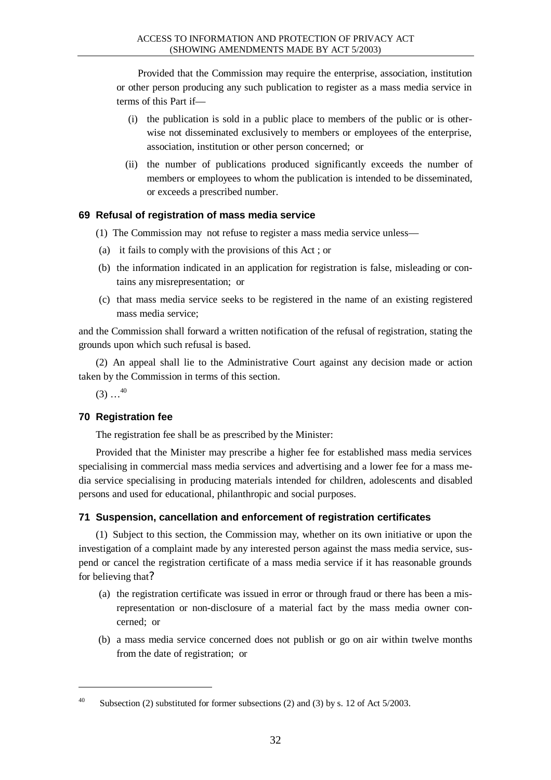Provided that the Commission may require the enterprise, association, institution or other person producing any such publication to register as a mass media service in terms of this Part if—

- (i) the publication is sold in a public place to members of the public or is otherwise not disseminated exclusively to members or employees of the enterprise, association, institution or other person concerned; or
- (ii) the number of publications produced significantly exceeds the number of members or employees to whom the publication is intended to be disseminated, or exceeds a prescribed number.

### **69 Refusal of registration of mass media service**

- (1) The Commission may not refuse to register a mass media service unless—
- (a) it fails to comply with the provisions of this Act ; or
- (b) the information indicated in an application for registration is false, misleading or contains any misrepresentation; or
- (c) that mass media service seeks to be registered in the name of an existing registered mass media service;

and the Commission shall forward a written notification of the refusal of registration, stating the grounds upon which such refusal is based.

(2) An appeal shall lie to the Administrative Court against any decision made or action taken by the Commission in terms of this section.

 $(3)$  ...<sup>40</sup>

l

# **70 Registration fee**

The registration fee shall be as prescribed by the Minister:

Provided that the Minister may prescribe a higher fee for established mass media services specialising in commercial mass media services and advertising and a lower fee for a mass media service specialising in producing materials intended for children, adolescents and disabled persons and used for educational, philanthropic and social purposes.

# **71 Suspension, cancellation and enforcement of registration certificates**

(1) Subject to this section, the Commission may, whether on its own initiative or upon the investigation of a complaint made by any interested person against the mass media service, suspend or cancel the registration certificate of a mass media service if it has reasonable grounds for believing that?

- (a) the registration certificate was issued in error or through fraud or there has been a misrepresentation or non-disclosure of a material fact by the mass media owner concerned; or
- (b) a mass media service concerned does not publish or go on air within twelve months from the date of registration; or

<sup>&</sup>lt;sup>40</sup> Subsection (2) substituted for former subsections (2) and (3) by s. 12 of Act  $5/2003$ .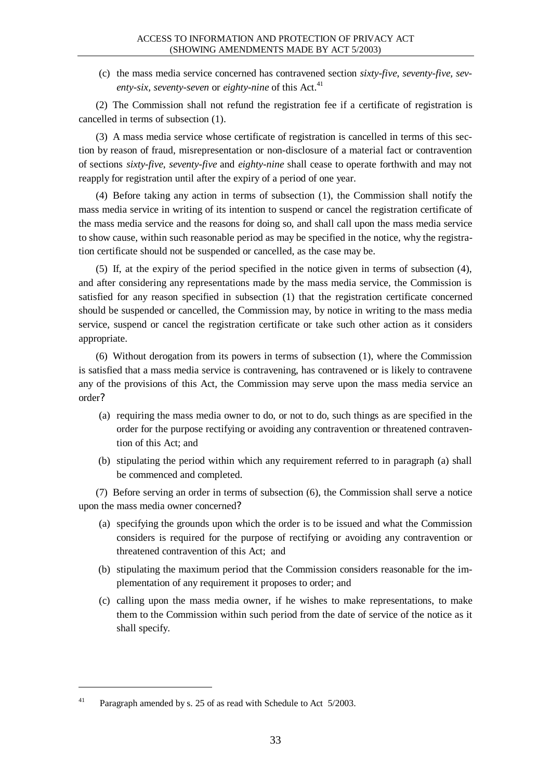(c) the mass media service concerned has contravened section *sixty-five*, *seventy-five, seventy-six, seventy-seven* or *eighty-nine* of this Act.<sup>41</sup>

(2) The Commission shall not refund the registration fee if a certificate of registration is cancelled in terms of subsection (1).

(3) A mass media service whose certificate of registration is cancelled in terms of this section by reason of fraud, misrepresentation or non-disclosure of a material fact or contravention of sections *sixty-five*, *seventy-five* and *eighty-nine* shall cease to operate forthwith and may not reapply for registration until after the expiry of a period of one year.

(4) Before taking any action in terms of subsection (1), the Commission shall notify the mass media service in writing of its intention to suspend or cancel the registration certificate of the mass media service and the reasons for doing so, and shall call upon the mass media service to show cause, within such reasonable period as may be specified in the notice, why the registration certificate should not be suspended or cancelled, as the case may be.

(5) If, at the expiry of the period specified in the notice given in terms of subsection (4), and after considering any representations made by the mass media service, the Commission is satisfied for any reason specified in subsection (1) that the registration certificate concerned should be suspended or cancelled, the Commission may, by notice in writing to the mass media service, suspend or cancel the registration certificate or take such other action as it considers appropriate.

(6) Without derogation from its powers in terms of subsection (1), where the Commission is satisfied that a mass media service is contravening, has contravened or is likely to contravene any of the provisions of this Act, the Commission may serve upon the mass media service an order?

- (a) requiring the mass media owner to do, or not to do, such things as are specified in the order for the purpose rectifying or avoiding any contravention or threatened contravention of this Act; and
- (b) stipulating the period within which any requirement referred to in paragraph (a) shall be commenced and completed.

(7) Before serving an order in terms of subsection (6), the Commission shall serve a notice upon the mass media owner concerned?

- (a) specifying the grounds upon which the order is to be issued and what the Commission considers is required for the purpose of rectifying or avoiding any contravention or threatened contravention of this Act; and
- (b) stipulating the maximum period that the Commission considers reasonable for the implementation of any requirement it proposes to order; and
- (c) calling upon the mass media owner, if he wishes to make representations, to make them to the Commission within such period from the date of service of the notice as it shall specify.

<sup>&</sup>lt;sup>41</sup> Paragraph amended by s. 25 of as read with Schedule to Act  $5/2003$ .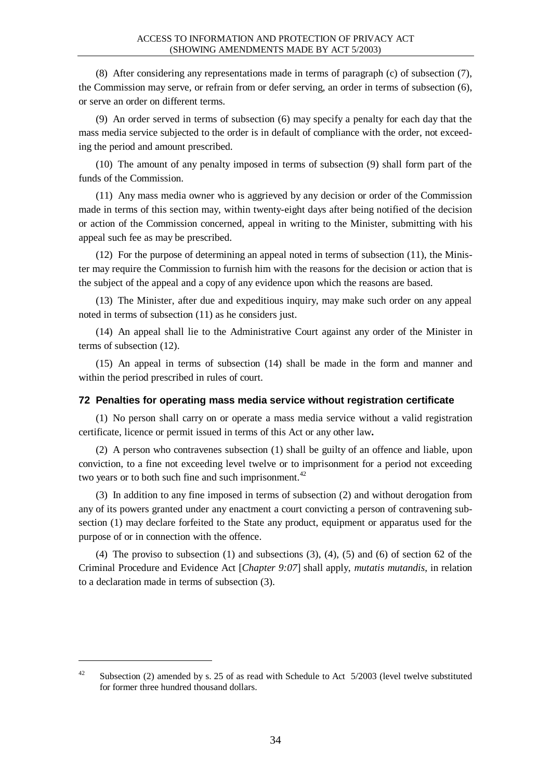(8) After considering any representations made in terms of paragraph (c) of subsection (7), the Commission may serve, or refrain from or defer serving, an order in terms of subsection (6), or serve an order on different terms.

(9) An order served in terms of subsection (6) may specify a penalty for each day that the mass media service subjected to the order is in default of compliance with the order, not exceeding the period and amount prescribed.

(10) The amount of any penalty imposed in terms of subsection (9) shall form part of the funds of the Commission.

(11) Any mass media owner who is aggrieved by any decision or order of the Commission made in terms of this section may, within twenty-eight days after being notified of the decision or action of the Commission concerned, appeal in writing to the Minister, submitting with his appeal such fee as may be prescribed.

(12) For the purpose of determining an appeal noted in terms of subsection (11), the Minister may require the Commission to furnish him with the reasons for the decision or action that is the subject of the appeal and a copy of any evidence upon which the reasons are based.

(13) The Minister, after due and expeditious inquiry, may make such order on any appeal noted in terms of subsection (11) as he considers just.

(14) An appeal shall lie to the Administrative Court against any order of the Minister in terms of subsection (12).

(15) An appeal in terms of subsection (14) shall be made in the form and manner and within the period prescribed in rules of court.

#### **72 Penalties for operating mass media service without registration certificate**

(1) No person shall carry on or operate a mass media service without a valid registration certificate, licence or permit issued in terms of this Act or any other law**.**

(2) A person who contravenes subsection (1) shall be guilty of an offence and liable, upon conviction, to a fine not exceeding level twelve or to imprisonment for a period not exceeding two years or to both such fine and such imprisonment.<sup>42</sup>

(3) In addition to any fine imposed in terms of subsection (2) and without derogation from any of its powers granted under any enactment a court convicting a person of contravening subsection (1) may declare forfeited to the State any product, equipment or apparatus used for the purpose of or in connection with the offence.

(4) The proviso to subsection (1) and subsections (3), (4), (5) and (6) of section 62 of the Criminal Procedure and Evidence Act [*Chapter 9:07*] shall apply, *mutatis mutandis*, in relation to a declaration made in terms of subsection (3).

<sup>&</sup>lt;sup>42</sup> Subsection (2) amended by s. 25 of as read with Schedule to Act  $5/2003$  (level twelve substituted for former three hundred thousand dollars.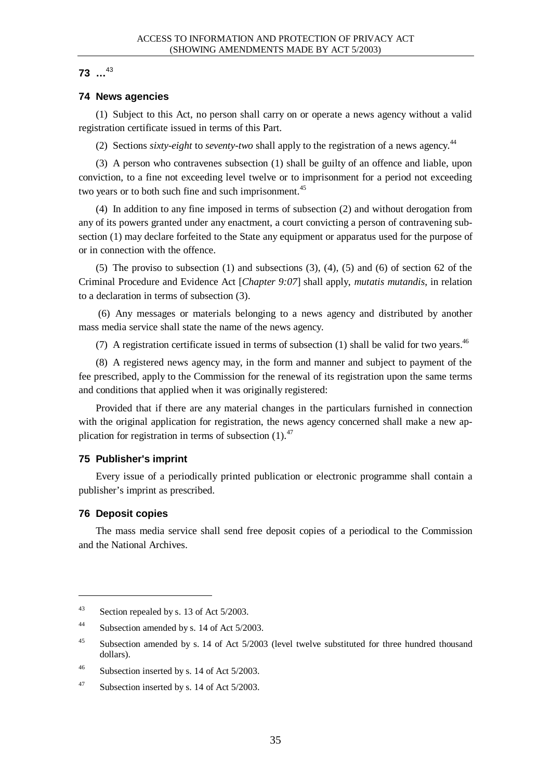# **73 …** 43

# **74 News agencies**

(1) Subject to this Act, no person shall carry on or operate a news agency without a valid registration certificate issued in terms of this Part.

(2) Sections *sixty-eight* to *seventy-two* shall apply to the registration of a news agency.<sup>44</sup>

(3) A person who contravenes subsection (1) shall be guilty of an offence and liable, upon conviction, to a fine not exceeding level twelve or to imprisonment for a period not exceeding two years or to both such fine and such imprisonment.<sup>45</sup>

(4) In addition to any fine imposed in terms of subsection (2) and without derogation from any of its powers granted under any enactment, a court convicting a person of contravening subsection (1) may declare forfeited to the State any equipment or apparatus used for the purpose of or in connection with the offence.

(5) The proviso to subsection (1) and subsections (3), (4), (5) and (6) of section 62 of the Criminal Procedure and Evidence Act [*Chapter 9:07*] shall apply, *mutatis mutandis*, in relation to a declaration in terms of subsection (3).

 (6) Any messages or materials belonging to a news agency and distributed by another mass media service shall state the name of the news agency.

(7) A registration certificate issued in terms of subsection (1) shall be valid for two vears.<sup>46</sup>

(8) A registered news agency may, in the form and manner and subject to payment of the fee prescribed, apply to the Commission for the renewal of its registration upon the same terms and conditions that applied when it was originally registered:

Provided that if there are any material changes in the particulars furnished in connection with the original application for registration, the news agency concerned shall make a new application for registration in terms of subsection  $(1)$ .<sup>47</sup>

# **75 Publisher's imprint**

Every issue of a periodically printed publication or electronic programme shall contain a publisher's imprint as prescribed.

# **76 Deposit copies**

l

The mass media service shall send free deposit copies of a periodical to the Commission and the National Archives.

 $43$  Section repealed by s. 13 of Act 5/2003.

<sup>44</sup> Subsection amended by s. 14 of Act 5/2003.

<sup>&</sup>lt;sup>45</sup> Subsection amended by s. 14 of Act 5/2003 (level twelve substituted for three hundred thousand dollars).

<sup>46</sup> Subsection inserted by s. 14 of Act 5/2003.

<sup>&</sup>lt;sup>47</sup> Subsection inserted by s. 14 of Act  $5/2003$ .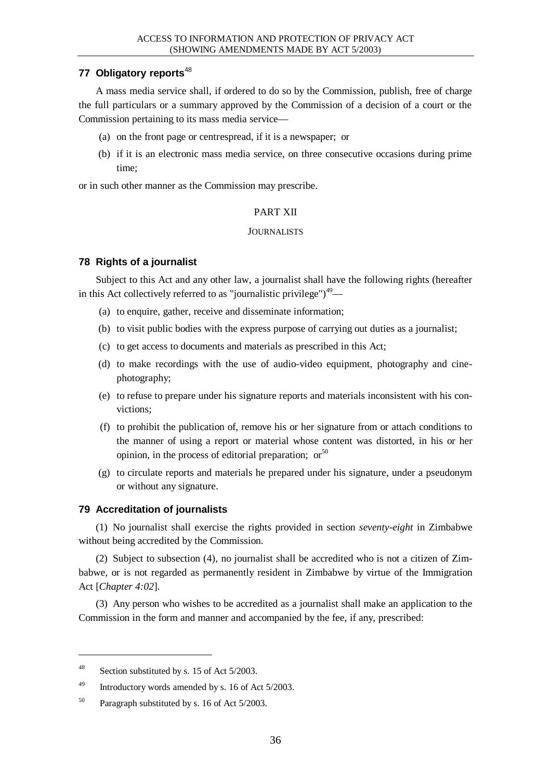# **77 Obligatory reports**<sup>48</sup>

A mass media service shall, if ordered to do so by the Commission, publish, free of charge the full particulars or a summary approved by the Commission of a decision of a court or the Commission pertaining to its mass media service—

- (a) on the front page or centrespread, if it is a newspaper; or
- (b) if it is an electronic mass media service, on three consecutive occasions during prime time;

or in such other manner as the Commission may prescribe.

### PART XII

#### **JOURNALISTS**

### **78 Rights of a journalist**

Subject to this Act and any other law, a journalist shall have the following rights (hereafter in this Act collectively referred to as "journalistic privilege" $)^{49}$ -

- (a) to enquire, gather, receive and disseminate information;
- (b) to visit public bodies with the express purpose of carrying out duties as a journalist;
- (c) to get access to documents and materials as prescribed in this Act;
- (d) to make recordings with the use of audio-video equipment, photography and cinephotography;
- (e) to refuse to prepare under his signature reports and materials inconsistent with his convictions;
- (f) to prohibit the publication of, remove his or her signature from or attach conditions to the manner of using a report or material whose content was distorted, in his or her opinion, in the process of editorial preparation; or  $50$
- (g) to circulate reports and materials he prepared under his signature, under a pseudonym or without any signature.

### **79 Accreditation of journalists**

(1) No journalist shall exercise the rights provided in section *seventy-eight* in Zimbabwe without being accredited by the Commission.

(2) Subject to subsection (4), no journalist shall be accredited who is not a citizen of Zimbabwe, or is not regarded as permanently resident in Zimbabwe by virtue of the Immigration Act [*Chapter 4:02*].

(3) Any person who wishes to be accredited as a journalist shall make an application to the Commission in the form and manner and accompanied by the fee, if any, prescribed:

<sup>48</sup> Section substituted by s. 15 of Act 5/2003.

<sup>49</sup> Introductory words amended by s. 16 of Act 5/2003.

<sup>50</sup> Paragraph substituted by s. 16 of Act 5/2003.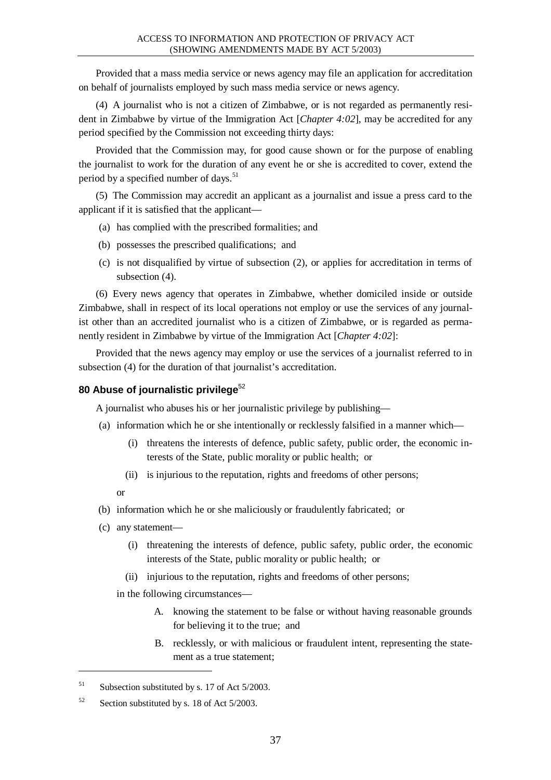Provided that a mass media service or news agency may file an application for accreditation on behalf of journalists employed by such mass media service or news agency.

(4) A journalist who is not a citizen of Zimbabwe, or is not regarded as permanently resident in Zimbabwe by virtue of the Immigration Act [*Chapter 4:02*], may be accredited for any period specified by the Commission not exceeding thirty days:

Provided that the Commission may, for good cause shown or for the purpose of enabling the journalist to work for the duration of any event he or she is accredited to cover, extend the period by a specified number of days.<sup>51</sup>

(5) The Commission may accredit an applicant as a journalist and issue a press card to the applicant if it is satisfied that the applicant—

- (a) has complied with the prescribed formalities; and
- (b) possesses the prescribed qualifications; and
- (c) is not disqualified by virtue of subsection (2), or applies for accreditation in terms of subsection (4).

(6) Every news agency that operates in Zimbabwe, whether domiciled inside or outside Zimbabwe, shall in respect of its local operations not employ or use the services of any journalist other than an accredited journalist who is a citizen of Zimbabwe, or is regarded as permanently resident in Zimbabwe by virtue of the Immigration Act [*Chapter 4:02*]:

Provided that the news agency may employ or use the services of a journalist referred to in subsection (4) for the duration of that journalist's accreditation.

# **80 Abuse of journalistic privilege**<sup>52</sup>

A journalist who abuses his or her journalistic privilege by publishing—

- (a) information which he or she intentionally or recklessly falsified in a manner which—
	- (i) threatens the interests of defence, public safety, public order, the economic interests of the State, public morality or public health; or
	- (ii) is injurious to the reputation, rights and freedoms of other persons;
	- or

 $\overline{a}$ 

- (b) information which he or she maliciously or fraudulently fabricated; or
- (c) any statement—
	- (i) threatening the interests of defence, public safety, public order, the economic interests of the State, public morality or public health; or
	- (ii) injurious to the reputation, rights and freedoms of other persons;

in the following circumstances—

- A. knowing the statement to be false or without having reasonable grounds for believing it to the true; and
- B. recklessly, or with malicious or fraudulent intent, representing the statement as a true statement;

 $51$  Subsection substituted by s. 17 of Act 5/2003.

<sup>52</sup> Section substituted by s. 18 of Act 5/2003.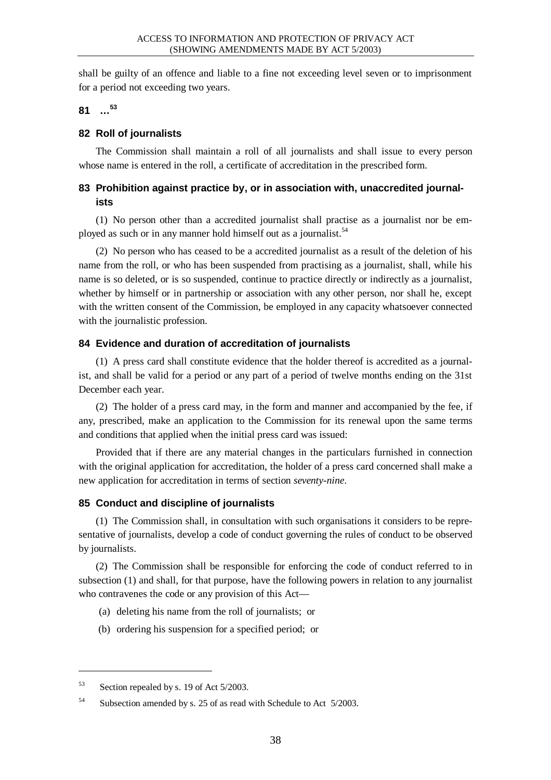shall be guilty of an offence and liable to a fine not exceeding level seven or to imprisonment for a period not exceeding two years.

**81 … 53**

# **82 Roll of journalists**

The Commission shall maintain a roll of all journalists and shall issue to every person whose name is entered in the roll, a certificate of accreditation in the prescribed form.

# **83 Prohibition against practice by, or in association with, unaccredited journalists**

(1) No person other than a accredited journalist shall practise as a journalist nor be employed as such or in any manner hold himself out as a journalist.<sup>54</sup>

(2) No person who has ceased to be a accredited journalist as a result of the deletion of his name from the roll, or who has been suspended from practising as a journalist, shall, while his name is so deleted, or is so suspended, continue to practice directly or indirectly as a journalist, whether by himself or in partnership or association with any other person, nor shall he, except with the written consent of the Commission, be employed in any capacity whatsoever connected with the journalistic profession.

# **84 Evidence and duration of accreditation of journalists**

(1) A press card shall constitute evidence that the holder thereof is accredited as a journalist, and shall be valid for a period or any part of a period of twelve months ending on the 31st December each year.

(2) The holder of a press card may, in the form and manner and accompanied by the fee, if any, prescribed, make an application to the Commission for its renewal upon the same terms and conditions that applied when the initial press card was issued:

Provided that if there are any material changes in the particulars furnished in connection with the original application for accreditation, the holder of a press card concerned shall make a new application for accreditation in terms of section *seventy-nine*.

# **85 Conduct and discipline of journalists**

(1) The Commission shall, in consultation with such organisations it considers to be representative of journalists, develop a code of conduct governing the rules of conduct to be observed by journalists.

(2) The Commission shall be responsible for enforcing the code of conduct referred to in subsection (1) and shall, for that purpose, have the following powers in relation to any journalist who contravenes the code or any provision of this Act—

- (a) deleting his name from the roll of journalists; or
- (b) ordering his suspension for a specified period; or

 $\overline{a}$ 

<sup>53</sup> Section repealed by s. 19 of Act 5/2003.

<sup>54</sup> Subsection amended by s. 25 of as read with Schedule to Act 5/2003.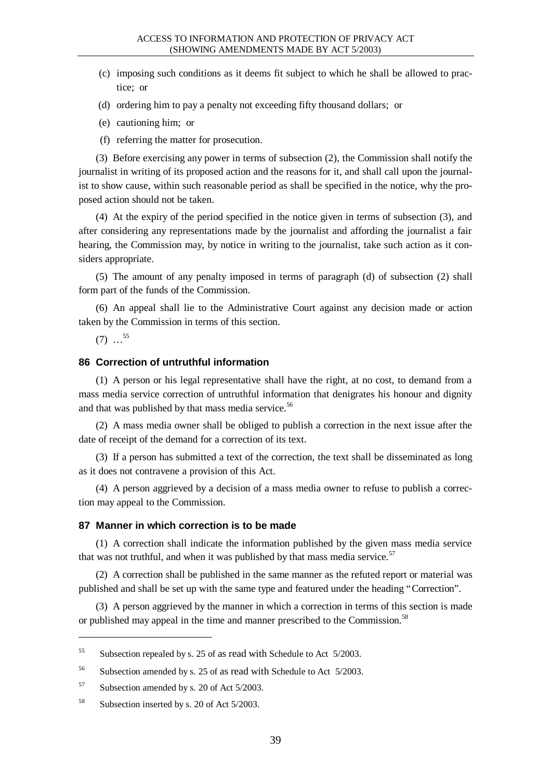- (c) imposing such conditions as it deems fit subject to which he shall be allowed to practice; or
- (d) ordering him to pay a penalty not exceeding fifty thousand dollars; or
- (e) cautioning him; or
- (f) referring the matter for prosecution.

(3) Before exercising any power in terms of subsection (2), the Commission shall notify the journalist in writing of its proposed action and the reasons for it, and shall call upon the journalist to show cause, within such reasonable period as shall be specified in the notice, why the proposed action should not be taken.

(4) At the expiry of the period specified in the notice given in terms of subsection (3), and after considering any representations made by the journalist and affording the journalist a fair hearing, the Commission may, by notice in writing to the journalist, take such action as it considers appropriate.

(5) The amount of any penalty imposed in terms of paragraph (d) of subsection (2) shall form part of the funds of the Commission.

(6) An appeal shall lie to the Administrative Court against any decision made or action taken by the Commission in terms of this section.

 $(7)$  ...<sup>55</sup>

l

# **86 Correction of untruthful information**

(1) A person or his legal representative shall have the right, at no cost, to demand from a mass media service correction of untruthful information that denigrates his honour and dignity and that was published by that mass media service.<sup>56</sup>

(2) A mass media owner shall be obliged to publish a correction in the next issue after the date of receipt of the demand for a correction of its text.

(3) If a person has submitted a text of the correction, the text shall be disseminated as long as it does not contravene a provision of this Act.

(4) A person aggrieved by a decision of a mass media owner to refuse to publish a correction may appeal to the Commission.

#### **87 Manner in which correction is to be made**

(1) A correction shall indicate the information published by the given mass media service that was not truthful, and when it was published by that mass media service.<sup>57</sup>

(2) A correction shall be published in the same manner as the refuted report or material was published and shall be set up with the same type and featured under the heading "Correction".

(3) A person aggrieved by the manner in which a correction in terms of this section is made or published may appeal in the time and manner prescribed to the Commission.<sup>58</sup>

<sup>&</sup>lt;sup>55</sup> Subsection repealed by s. 25 of as read with Schedule to Act 5/2003.

<sup>56</sup> Subsection amended by s. 25 of as read with Schedule to Act 5/2003.

<sup>57</sup> Subsection amended by s. 20 of Act 5/2003.

<sup>58</sup> Subsection inserted by s. 20 of Act 5/2003.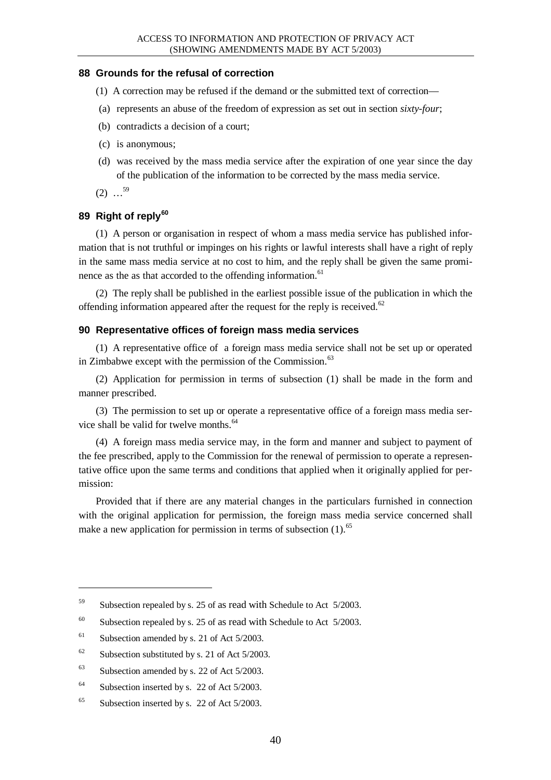### **88 Grounds for the refusal of correction**

- (1) A correction may be refused if the demand or the submitted text of correction—
- (a) represents an abuse of the freedom of expression as set out in section *sixty-four*;
- (b) contradicts a decision of a court;
- (c) is anonymous;
- (d) was received by the mass media service after the expiration of one year since the day of the publication of the information to be corrected by the mass media service.
- $(2)$  ...<sup>59</sup>

# **89 Right of reply<sup>60</sup>**

(1) A person or organisation in respect of whom a mass media service has published information that is not truthful or impinges on his rights or lawful interests shall have a right of reply in the same mass media service at no cost to him, and the reply shall be given the same prominence as the as that accorded to the offending information.<sup>61</sup>

(2) The reply shall be published in the earliest possible issue of the publication in which the offending information appeared after the request for the reply is received. $62$ 

### **90 Representative offices of foreign mass media services**

(1) A representative office of a foreign mass media service shall not be set up or operated in Zimbabwe except with the permission of the Commission. $63$ 

(2) Application for permission in terms of subsection (1) shall be made in the form and manner prescribed.

(3) The permission to set up or operate a representative office of a foreign mass media service shall be valid for twelve months.<sup>64</sup>

(4) A foreign mass media service may, in the form and manner and subject to payment of the fee prescribed, apply to the Commission for the renewal of permission to operate a representative office upon the same terms and conditions that applied when it originally applied for permission:

Provided that if there are any material changes in the particulars furnished in connection with the original application for permission, the foreign mass media service concerned shall make a new application for permission in terms of subsection  $(1)$ .<sup>65</sup>

 $\overline{a}$ 

<sup>65</sup> Subsection inserted by s. 22 of Act 5/2003.

<sup>59</sup> Subsection repealed by s. 25 of as read with Schedule to Act 5/2003.

<sup>&</sup>lt;sup>60</sup> Subsection repealed by s. 25 of as read with Schedule to Act  $5/2003$ .

<sup>&</sup>lt;sup>61</sup> Subsection amended by s. 21 of Act  $5/2003$ .

 $62$  Subsection substituted by s. 21 of Act 5/2003.

 $63$  Subsection amended by s. 22 of Act 5/2003.

<sup>&</sup>lt;sup>64</sup> Subsection inserted by s. 22 of Act 5/2003.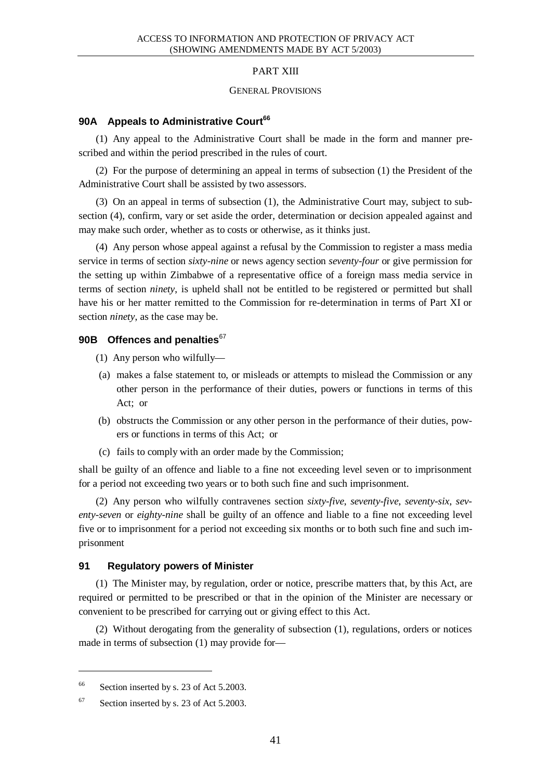### PART XIII

#### GENERAL PROVISIONS

# **90A Appeals to Administrative Court<sup>66</sup>**

(1) Any appeal to the Administrative Court shall be made in the form and manner prescribed and within the period prescribed in the rules of court.

(2) For the purpose of determining an appeal in terms of subsection (1) the President of the Administrative Court shall be assisted by two assessors.

(3) On an appeal in terms of subsection (1), the Administrative Court may, subject to subsection (4), confirm, vary or set aside the order, determination or decision appealed against and may make such order, whether as to costs or otherwise, as it thinks just.

(4) Any person whose appeal against a refusal by the Commission to register a mass media service in terms of section *sixty-nine* or news agency section *seventy-four* or give permission for the setting up within Zimbabwe of a representative office of a foreign mass media service in terms of section *ninety*, is upheld shall not be entitled to be registered or permitted but shall have his or her matter remitted to the Commission for re-determination in terms of Part XI or section *ninety*, as the case may be.

### **90B Offences and penalties**<sup>67</sup>

- (1) Any person who wilfully—
- (a) makes a false statement to, or misleads or attempts to mislead the Commission or any other person in the performance of their duties, powers or functions in terms of this Act; or
- (b) obstructs the Commission or any other person in the performance of their duties, powers or functions in terms of this Act; or
- (c) fails to comply with an order made by the Commission;

shall be guilty of an offence and liable to a fine not exceeding level seven or to imprisonment for a period not exceeding two years or to both such fine and such imprisonment.

(2) Any person who wilfully contravenes section *sixty-five*, *seventy-five*, *seventy-six*, *seventy-seven* or *eighty-nine* shall be guilty of an offence and liable to a fine not exceeding level five or to imprisonment for a period not exceeding six months or to both such fine and such imprisonment

### **91 Regulatory powers of Minister**

(1) The Minister may, by regulation, order or notice, prescribe matters that, by this Act, are required or permitted to be prescribed or that in the opinion of the Minister are necessary or convenient to be prescribed for carrying out or giving effect to this Act.

(2) Without derogating from the generality of subsection (1), regulations, orders or notices made in terms of subsection (1) may provide for—

 $\overline{a}$ 

<sup>&</sup>lt;sup>66</sup> Section inserted by s. 23 of Act 5.2003.

<sup>67</sup> Section inserted by s. 23 of Act 5.2003.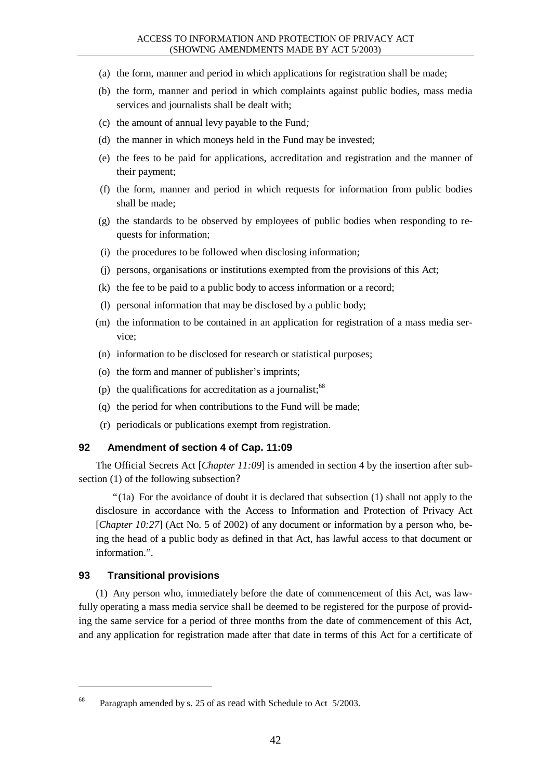- (a) the form, manner and period in which applications for registration shall be made;
- (b) the form, manner and period in which complaints against public bodies, mass media services and journalists shall be dealt with;
- (c) the amount of annual levy payable to the Fund*;*
- (d) the manner in which moneys held in the Fund may be invested;
- (e) the fees to be paid for applications, accreditation and registration and the manner of their payment;
- (f) the form, manner and period in which requests for information from public bodies shall be made;
- (g) the standards to be observed by employees of public bodies when responding to requests for information;
- (i) the procedures to be followed when disclosing information;
- (j) persons, organisations or institutions exempted from the provisions of this Act;
- (k) the fee to be paid to a public body to access information or a record;
- (l) personal information that may be disclosed by a public body;
- (m) the information to be contained in an application for registration of a mass media service;
- (n) information to be disclosed for research or statistical purposes;
- (o) the form and manner of publisher's imprints;
- (p) the qualifications for accreditation as a journalist: $68$
- (q) the period for when contributions to the Fund will be made;
- (r) periodicals or publications exempt from registration.

### **92 Amendment of section 4 of Cap. 11:09**

The Official Secrets Act [*Chapter 11:09*] is amended in section 4 by the insertion after subsection (1) of the following subsection?

"(1a) For the avoidance of doubt it is declared that subsection (1) shall not apply to the disclosure in accordance with the Access to Information and Protection of Privacy Act [*Chapter 10:27*] (Act No. 5 of 2002) of any document or information by a person who, being the head of a public body as defined in that Act, has lawful access to that document or information.".

### **93 Transitional provisions**

l

(1) Any person who, immediately before the date of commencement of this Act, was lawfully operating a mass media service shall be deemed to be registered for the purpose of providing the same service for a period of three months from the date of commencement of this Act, and any application for registration made after that date in terms of this Act for a certificate of

<sup>&</sup>lt;sup>68</sup> Paragraph amended by s. 25 of as read with Schedule to Act 5/2003.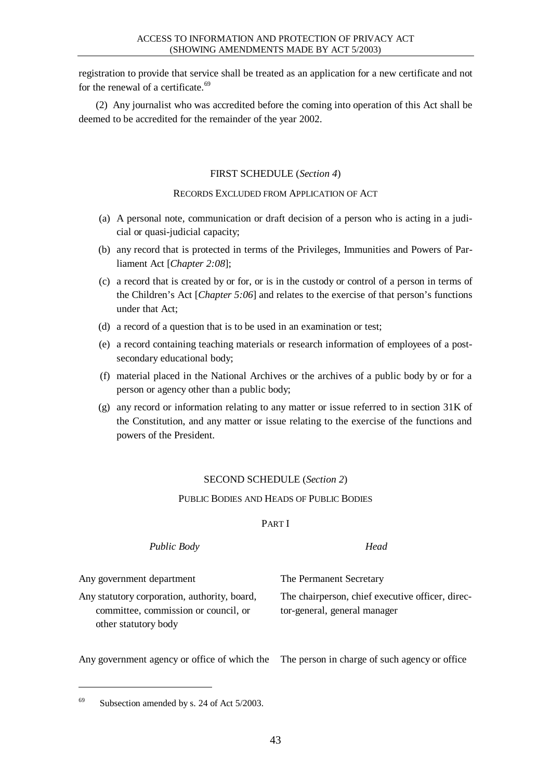registration to provide that service shall be treated as an application for a new certificate and not for the renewal of a certificate.<sup>69</sup>

(2) Any journalist who was accredited before the coming into operation of this Act shall be deemed to be accredited for the remainder of the year 2002.

### FIRST SCHEDULE (*Section 4*)

RECORDS EXCLUDED FROM APPLICATION OF ACT

- (a) A personal note, communication or draft decision of a person who is acting in a judicial or quasi-judicial capacity;
- (b) any record that is protected in terms of the Privileges, Immunities and Powers of Parliament Act [*Chapter 2:08*];
- (c) a record that is created by or for, or is in the custody or control of a person in terms of the Children's Act [*Chapter 5:06*] and relates to the exercise of that person's functions under that Act;
- (d) a record of a question that is to be used in an examination or test;
- (e) a record containing teaching materials or research information of employees of a postsecondary educational body;
- (f) material placed in the National Archives or the archives of a public body by or for a person or agency other than a public body;
- (g) any record or information relating to any matter or issue referred to in section 31K of the Constitution, and any matter or issue relating to the exercise of the functions and powers of the President.

### SECOND SCHEDULE (*Section 2*)

### PUBLIC BODIES AND HEADS OF PUBLIC BODIES

### PART I

# *Public Body Head* Any government department The Permanent Secretary Any statutory corporation, authority, board, committee, commission or council, or other statutory body The chairperson, chief executive officer, director-general, general manager

Any government agency or office of which the The person in charge of such agency or office

 $69$  Subsection amended by s. 24 of Act 5/2003.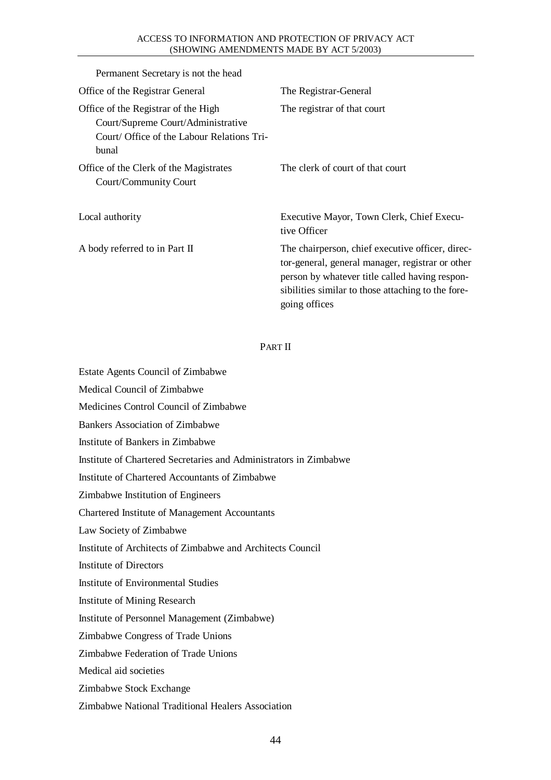#### ACCESS TO INFORMATION AND PROTECTION OF PRIVACY ACT (SHOWING AMENDMENTS MADE BY ACT 5/2003)

| Permanent Secretary is not the head                                                                                              |                                                                                                                                                                                                                               |
|----------------------------------------------------------------------------------------------------------------------------------|-------------------------------------------------------------------------------------------------------------------------------------------------------------------------------------------------------------------------------|
| Office of the Registrar General                                                                                                  | The Registrar-General                                                                                                                                                                                                         |
| Office of the Registrar of the High<br>Court/Supreme Court/Administrative<br>Court/ Office of the Labour Relations Tri-<br>bunal | The registrar of that court                                                                                                                                                                                                   |
| Office of the Clerk of the Magistrates<br>Court/Community Court                                                                  | The clerk of court of that court                                                                                                                                                                                              |
| Local authority                                                                                                                  | Executive Mayor, Town Clerk, Chief Execu-<br>tive Officer                                                                                                                                                                     |
| A body referred to in Part II                                                                                                    | The chairperson, chief executive officer, direc-<br>tor-general, general manager, registrar or other<br>person by whatever title called having respon-<br>sibilities similar to those attaching to the fore-<br>going offices |

### PART II

Estate Agents Council of Zimbabwe

Medical Council of Zimbabwe

Medicines Control Council of Zimbabwe

Bankers Association of Zimbabwe

Institute of Bankers in Zimbabwe

Institute of Chartered Secretaries and Administrators in Zimbabwe

Institute of Chartered Accountants of Zimbabwe

Zimbabwe Institution of Engineers

Chartered Institute of Management Accountants

Law Society of Zimbabwe

Institute of Architects of Zimbabwe and Architects Council

Institute of Directors

Institute of Environmental Studies

Institute of Mining Research

Institute of Personnel Management (Zimbabwe)

Zimbabwe Congress of Trade Unions

Zimbabwe Federation of Trade Unions

Medical aid societies

Zimbabwe Stock Exchange

Zimbabwe National Traditional Healers Association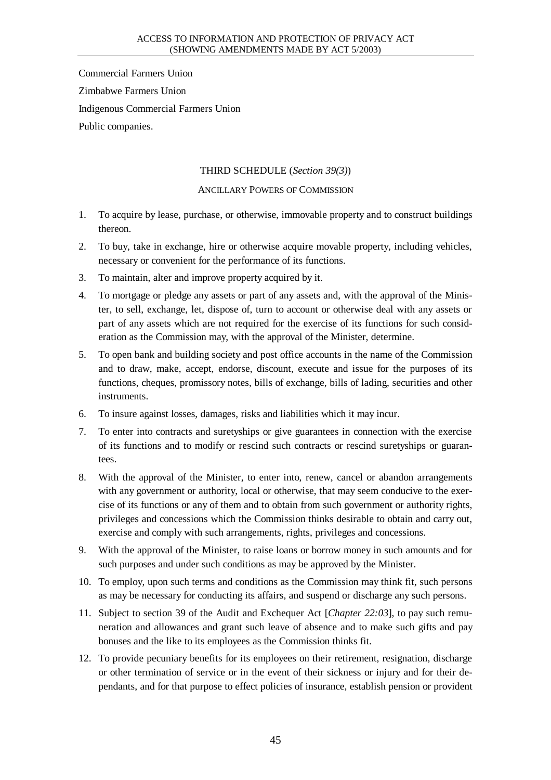Commercial Farmers Union Zimbabwe Farmers Union Indigenous Commercial Farmers Union Public companies.

# THIRD SCHEDULE (*Section 39(3)*)

# ANCILLARY POWERS OF COMMISSION

- 1. To acquire by lease, purchase, or otherwise, immovable property and to construct buildings thereon.
- 2. To buy, take in exchange, hire or otherwise acquire movable property, including vehicles, necessary or convenient for the performance of its functions.
- 3. To maintain, alter and improve property acquired by it.
- 4. To mortgage or pledge any assets or part of any assets and, with the approval of the Minister, to sell, exchange, let, dispose of, turn to account or otherwise deal with any assets or part of any assets which are not required for the exercise of its functions for such consideration as the Commission may, with the approval of the Minister, determine.
- 5. To open bank and building society and post office accounts in the name of the Commission and to draw, make, accept, endorse, discount, execute and issue for the purposes of its functions, cheques, promissory notes, bills of exchange, bills of lading, securities and other instruments.
- 6. To insure against losses, damages, risks and liabilities which it may incur.
- 7. To enter into contracts and suretyships or give guarantees in connection with the exercise of its functions and to modify or rescind such contracts or rescind suretyships or guarantees.
- 8. With the approval of the Minister, to enter into, renew, cancel or abandon arrangements with any government or authority, local or otherwise, that may seem conducive to the exercise of its functions or any of them and to obtain from such government or authority rights, privileges and concessions which the Commission thinks desirable to obtain and carry out, exercise and comply with such arrangements, rights, privileges and concessions.
- 9. With the approval of the Minister, to raise loans or borrow money in such amounts and for such purposes and under such conditions as may be approved by the Minister.
- 10. To employ, upon such terms and conditions as the Commission may think fit, such persons as may be necessary for conducting its affairs, and suspend or discharge any such persons.
- 11. Subject to section 39 of the Audit and Exchequer Act [*Chapter 22:03*], to pay such remuneration and allowances and grant such leave of absence and to make such gifts and pay bonuses and the like to its employees as the Commission thinks fit.
- 12. To provide pecuniary benefits for its employees on their retirement, resignation, discharge or other termination of service or in the event of their sickness or injury and for their dependants, and for that purpose to effect policies of insurance, establish pension or provident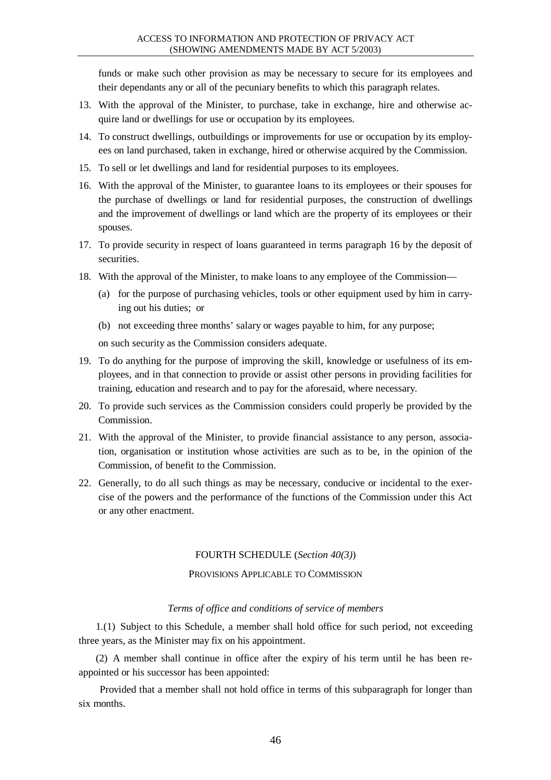funds or make such other provision as may be necessary to secure for its employees and their dependants any or all of the pecuniary benefits to which this paragraph relates.

- 13. With the approval of the Minister, to purchase, take in exchange, hire and otherwise acquire land or dwellings for use or occupation by its employees.
- 14. To construct dwellings, outbuildings or improvements for use or occupation by its employees on land purchased, taken in exchange, hired or otherwise acquired by the Commission.
- 15. To sell or let dwellings and land for residential purposes to its employees.
- 16. With the approval of the Minister, to guarantee loans to its employees or their spouses for the purchase of dwellings or land for residential purposes, the construction of dwellings and the improvement of dwellings or land which are the property of its employees or their spouses.
- 17. To provide security in respect of loans guaranteed in terms paragraph 16 by the deposit of securities.
- 18. With the approval of the Minister, to make loans to any employee of the Commission—
	- (a) for the purpose of purchasing vehicles, tools or other equipment used by him in carrying out his duties; or
	- (b) not exceeding three months' salary or wages payable to him, for any purpose;

on such security as the Commission considers adequate.

- 19. To do anything for the purpose of improving the skill, knowledge or usefulness of its employees, and in that connection to provide or assist other persons in providing facilities for training, education and research and to pay for the aforesaid, where necessary.
- 20. To provide such services as the Commission considers could properly be provided by the Commission.
- 21. With the approval of the Minister, to provide financial assistance to any person, association, organisation or institution whose activities are such as to be, in the opinion of the Commission, of benefit to the Commission.
- 22. Generally, to do all such things as may be necessary, conducive or incidental to the exercise of the powers and the performance of the functions of the Commission under this Act or any other enactment.

### FOURTH SCHEDULE (*Section 40(3)*)

### PROVISIONS APPLICABLE TO COMMISSION

### *Terms of office and conditions of service of members*

1.(1) Subject to this Schedule, a member shall hold office for such period, not exceeding three years, as the Minister may fix on his appointment.

(2) A member shall continue in office after the expiry of his term until he has been reappointed or his successor has been appointed:

Provided that a member shall not hold office in terms of this subparagraph for longer than six months.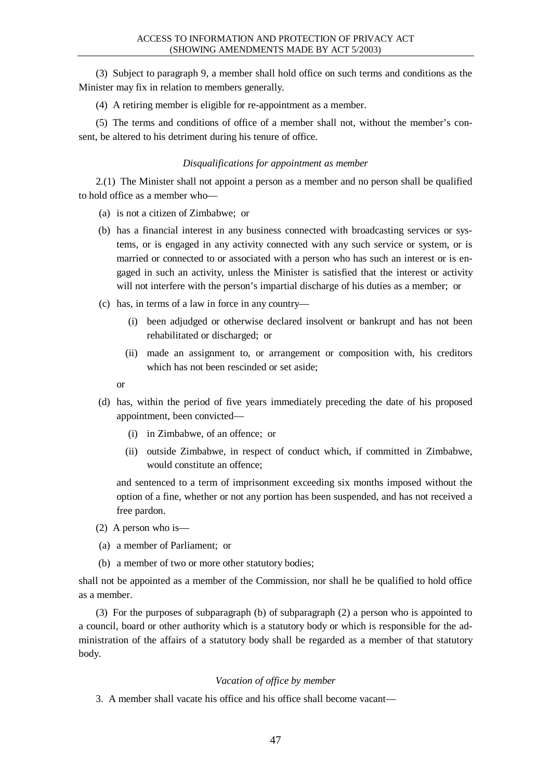(3) Subject to paragraph 9, a member shall hold office on such terms and conditions as the Minister may fix in relation to members generally.

(4) A retiring member is eligible for re-appointment as a member.

(5) The terms and conditions of office of a member shall not, without the member's consent, be altered to his detriment during his tenure of office.

#### *Disqualifications for appointment as member*

2.(1) The Minister shall not appoint a person as a member and no person shall be qualified to hold office as a member who—

- (a) is not a citizen of Zimbabwe; or
- (b) has a financial interest in any business connected with broadcasting services or systems, or is engaged in any activity connected with any such service or system, or is married or connected to or associated with a person who has such an interest or is engaged in such an activity, unless the Minister is satisfied that the interest or activity will not interfere with the person's impartial discharge of his duties as a member; or
- (c) has, in terms of a law in force in any country—
	- (i) been adjudged or otherwise declared insolvent or bankrupt and has not been rehabilitated or discharged; or
	- (ii) made an assignment to, or arrangement or composition with, his creditors which has not been rescinded or set aside;

or

- (d) has, within the period of five years immediately preceding the date of his proposed appointment, been convicted—
	- (i) in Zimbabwe, of an offence; or
	- (ii) outside Zimbabwe, in respect of conduct which, if committed in Zimbabwe, would constitute an offence;

and sentenced to a term of imprisonment exceeding six months imposed without the option of a fine, whether or not any portion has been suspended, and has not received a free pardon.

- (2) A person who is—
- (a) a member of Parliament; or
- (b) a member of two or more other statutory bodies;

shall not be appointed as a member of the Commission, nor shall he be qualified to hold office as a member.

(3) For the purposes of subparagraph (b) of subparagraph (2) a person who is appointed to a council, board or other authority which is a statutory body or which is responsible for the administration of the affairs of a statutory body shall be regarded as a member of that statutory body.

#### *Vacation of office by member*

3. A member shall vacate his office and his office shall become vacant—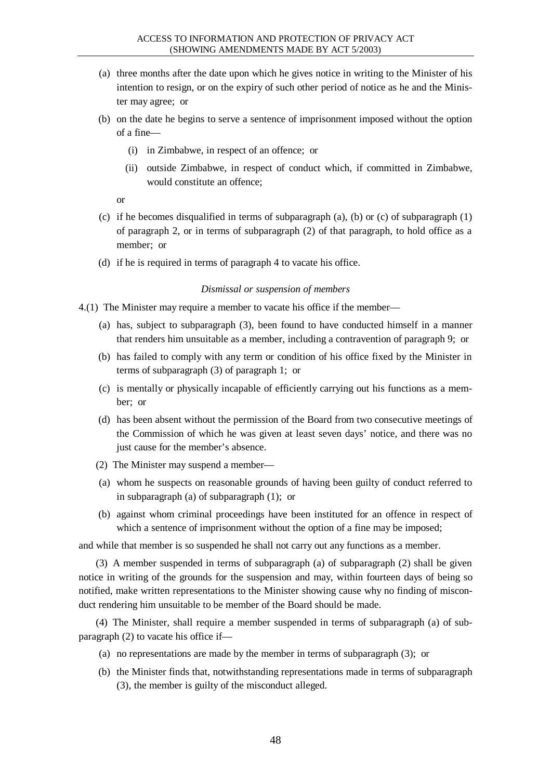- (a) three months after the date upon which he gives notice in writing to the Minister of his intention to resign, or on the expiry of such other period of notice as he and the Minister may agree; or
- (b) on the date he begins to serve a sentence of imprisonment imposed without the option of a fine—
	- (i) in Zimbabwe, in respect of an offence; or
	- (ii) outside Zimbabwe, in respect of conduct which, if committed in Zimbabwe, would constitute an offence;

or

- (c) if he becomes disqualified in terms of subparagraph  $(a)$ ,  $(b)$  or  $(c)$  of subparagraph  $(1)$ of paragraph 2, or in terms of subparagraph (2) of that paragraph, to hold office as a member; or
- (d) if he is required in terms of paragraph 4 to vacate his office.

#### *Dismissal or suspension of members*

4.(1) The Minister may require a member to vacate his office if the member—

- (a) has, subject to subparagraph (3), been found to have conducted himself in a manner that renders him unsuitable as a member, including a contravention of paragraph 9; or
- (b) has failed to comply with any term or condition of his office fixed by the Minister in terms of subparagraph (3) of paragraph 1; or
- (c) is mentally or physically incapable of efficiently carrying out his functions as a member; or
- (d) has been absent without the permission of the Board from two consecutive meetings of the Commission of which he was given at least seven days' notice, and there was no just cause for the member's absence.
- (2) The Minister may suspend a member—
- (a) whom he suspects on reasonable grounds of having been guilty of conduct referred to in subparagraph (a) of subparagraph (1); or
- (b) against whom criminal proceedings have been instituted for an offence in respect of which a sentence of imprisonment without the option of a fine may be imposed;

and while that member is so suspended he shall not carry out any functions as a member.

(3) A member suspended in terms of subparagraph (a) of subparagraph (2) shall be given notice in writing of the grounds for the suspension and may, within fourteen days of being so notified, make written representations to the Minister showing cause why no finding of misconduct rendering him unsuitable to be member of the Board should be made.

(4) The Minister, shall require a member suspended in terms of subparagraph (a) of subparagraph (2) to vacate his office if—

- (a) no representations are made by the member in terms of subparagraph (3); or
- (b) the Minister finds that, notwithstanding representations made in terms of subparagraph (3), the member is guilty of the misconduct alleged.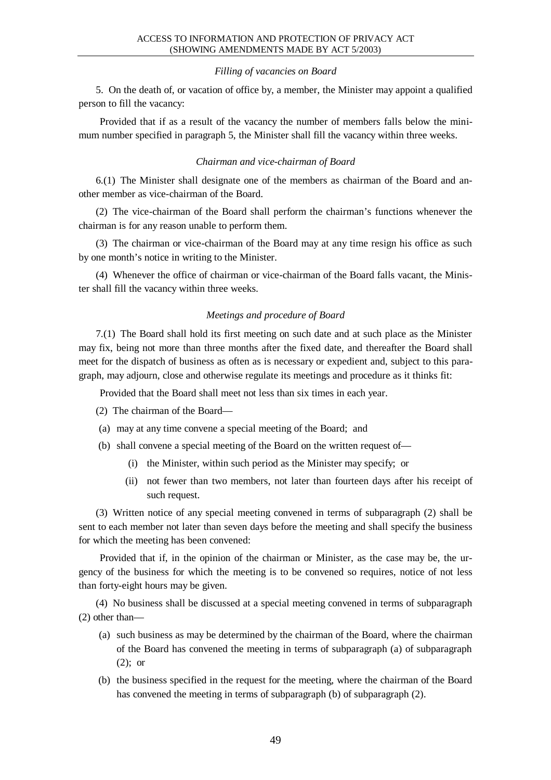#### *Filling of vacancies on Board*

5. On the death of, or vacation of office by, a member, the Minister may appoint a qualified person to fill the vacancy:

Provided that if as a result of the vacancy the number of members falls below the minimum number specified in paragraph 5, the Minister shall fill the vacancy within three weeks.

#### *Chairman and vice-chairman of Board*

6.(1) The Minister shall designate one of the members as chairman of the Board and another member as vice-chairman of the Board.

(2) The vice-chairman of the Board shall perform the chairman's functions whenever the chairman is for any reason unable to perform them.

(3) The chairman or vice-chairman of the Board may at any time resign his office as such by one month's notice in writing to the Minister.

(4) Whenever the office of chairman or vice-chairman of the Board falls vacant, the Minister shall fill the vacancy within three weeks.

#### *Meetings and procedure of Board*

7.(1) The Board shall hold its first meeting on such date and at such place as the Minister may fix, being not more than three months after the fixed date, and thereafter the Board shall meet for the dispatch of business as often as is necessary or expedient and, subject to this paragraph, may adjourn, close and otherwise regulate its meetings and procedure as it thinks fit:

Provided that the Board shall meet not less than six times in each year.

(2) The chairman of the Board—

- (a) may at any time convene a special meeting of the Board; and
- (b) shall convene a special meeting of the Board on the written request of—
	- (i) the Minister, within such period as the Minister may specify; or
	- (ii) not fewer than two members, not later than fourteen days after his receipt of such request.

(3) Written notice of any special meeting convened in terms of subparagraph (2) shall be sent to each member not later than seven days before the meeting and shall specify the business for which the meeting has been convened:

Provided that if, in the opinion of the chairman or Minister, as the case may be, the urgency of the business for which the meeting is to be convened so requires, notice of not less than forty-eight hours may be given.

(4) No business shall be discussed at a special meeting convened in terms of subparagraph (2) other than—

- (a) such business as may be determined by the chairman of the Board, where the chairman of the Board has convened the meeting in terms of subparagraph (a) of subparagraph (2); or
- (b) the business specified in the request for the meeting, where the chairman of the Board has convened the meeting in terms of subparagraph (b) of subparagraph (2).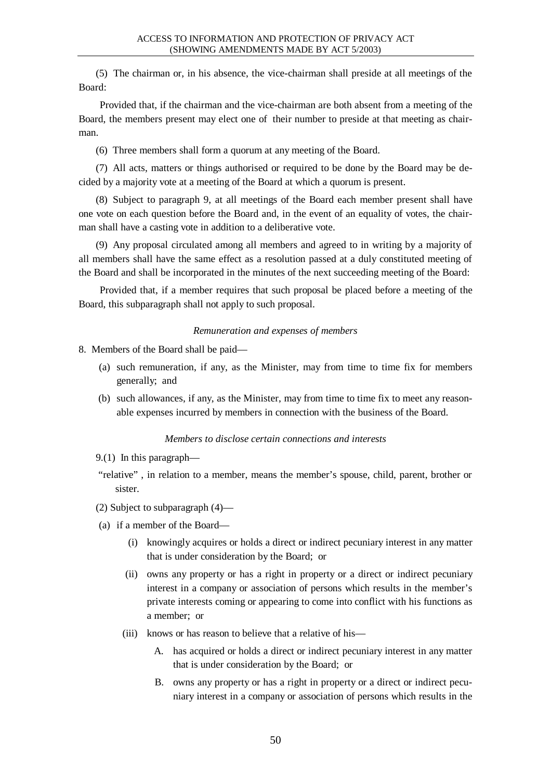(5) The chairman or, in his absence, the vice-chairman shall preside at all meetings of the Board:

Provided that, if the chairman and the vice-chairman are both absent from a meeting of the Board, the members present may elect one of their number to preside at that meeting as chairman.

(6) Three members shall form a quorum at any meeting of the Board.

(7) All acts, matters or things authorised or required to be done by the Board may be decided by a majority vote at a meeting of the Board at which a quorum is present.

(8) Subject to paragraph 9, at all meetings of the Board each member present shall have one vote on each question before the Board and, in the event of an equality of votes, the chairman shall have a casting vote in addition to a deliberative vote.

(9) Any proposal circulated among all members and agreed to in writing by a majority of all members shall have the same effect as a resolution passed at a duly constituted meeting of the Board and shall be incorporated in the minutes of the next succeeding meeting of the Board:

Provided that, if a member requires that such proposal be placed before a meeting of the Board, this subparagraph shall not apply to such proposal.

### *Remuneration and expenses of members*

8. Members of the Board shall be paid—

- (a) such remuneration, if any, as the Minister, may from time to time fix for members generally; and
- (b) such allowances, if any, as the Minister, may from time to time fix to meet any reasonable expenses incurred by members in connection with the business of the Board.

### *Members to disclose certain connections and interests*

- 9.(1) In this paragraph—
- "relative" , in relation to a member, means the member's spouse, child, parent, brother or sister.
- (2) Subject to subparagraph (4)—
- (a) if a member of the Board—
	- (i) knowingly acquires or holds a direct or indirect pecuniary interest in any matter that is under consideration by the Board; or
	- (ii) owns any property or has a right in property or a direct or indirect pecuniary interest in a company or association of persons which results in the member's private interests coming or appearing to come into conflict with his functions as a member; or
	- (iii) knows or has reason to believe that a relative of his—
		- A. has acquired or holds a direct or indirect pecuniary interest in any matter that is under consideration by the Board; or
		- B. owns any property or has a right in property or a direct or indirect pecuniary interest in a company or association of persons which results in the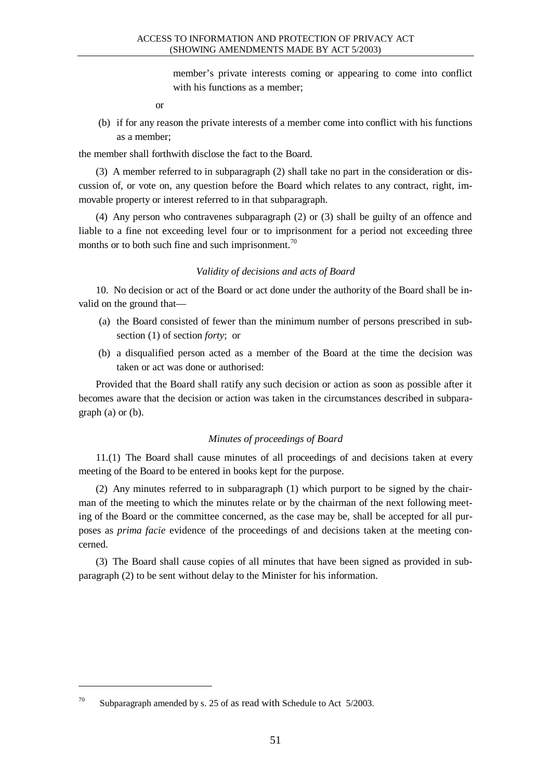member's private interests coming or appearing to come into conflict with his functions as a member;

or

(b) if for any reason the private interests of a member come into conflict with his functions as a member;

the member shall forthwith disclose the fact to the Board.

(3) A member referred to in subparagraph (2) shall take no part in the consideration or discussion of, or vote on, any question before the Board which relates to any contract, right, immovable property or interest referred to in that subparagraph.

(4) Any person who contravenes subparagraph (2) or (3) shall be guilty of an offence and liable to a fine not exceeding level four or to imprisonment for a period not exceeding three months or to both such fine and such imprisonment.<sup>70</sup>

### *Validity of decisions and acts of Board*

10. No decision or act of the Board or act done under the authority of the Board shall be invalid on the ground that—

- (a) the Board consisted of fewer than the minimum number of persons prescribed in subsection (1) of section *forty*; or
- (b) a disqualified person acted as a member of the Board at the time the decision was taken or act was done or authorised:

Provided that the Board shall ratify any such decision or action as soon as possible after it becomes aware that the decision or action was taken in the circumstances described in subparagraph (a) or (b).

# *Minutes of proceedings of Board*

11.(1) The Board shall cause minutes of all proceedings of and decisions taken at every meeting of the Board to be entered in books kept for the purpose.

(2) Any minutes referred to in subparagraph (1) which purport to be signed by the chairman of the meeting to which the minutes relate or by the chairman of the next following meeting of the Board or the committee concerned, as the case may be, shall be accepted for all purposes as *prima facie* evidence of the proceedings of and decisions taken at the meeting concerned.

(3) The Board shall cause copies of all minutes that have been signed as provided in subparagraph (2) to be sent without delay to the Minister for his information.

<sup>&</sup>lt;sup>70</sup> Subparagraph amended by s. 25 of as read with Schedule to Act  $5/2003$ .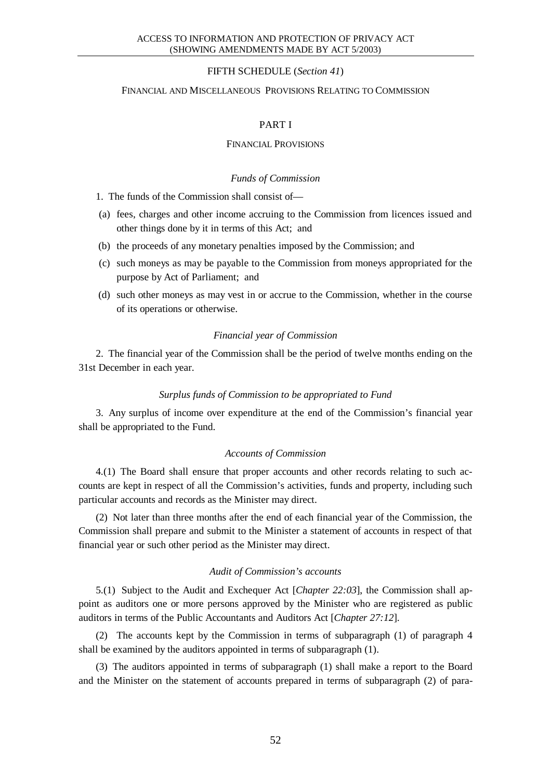### FIFTH SCHEDULE (*Section 41*)

#### FINANCIAL AND MISCELLANEOUS PROVISIONS RELATING TO COMMISSION

### PART I

#### FINANCIAL PROVISIONS

#### *Funds of Commission*

1. The funds of the Commission shall consist of—

- (a) fees, charges and other income accruing to the Commission from licences issued and other things done by it in terms of this Act; and
- (b) the proceeds of any monetary penalties imposed by the Commission; and
- (c) such moneys as may be payable to the Commission from moneys appropriated for the purpose by Act of Parliament; and
- (d) such other moneys as may vest in or accrue to the Commission, whether in the course of its operations or otherwise.

#### *Financial year of Commission*

2. The financial year of the Commission shall be the period of twelve months ending on the 31st December in each year.

#### *Surplus funds of Commission to be appropriated to Fund*

3. Any surplus of income over expenditure at the end of the Commission's financial year shall be appropriated to the Fund.

### *Accounts of Commission*

4.(1) The Board shall ensure that proper accounts and other records relating to such accounts are kept in respect of all the Commission's activities, funds and property, including such particular accounts and records as the Minister may direct.

(2) Not later than three months after the end of each financial year of the Commission, the Commission shall prepare and submit to the Minister a statement of accounts in respect of that financial year or such other period as the Minister may direct.

#### *Audit of Commission's accounts*

5.(1) Subject to the Audit and Exchequer Act [*Chapter 22:03*], the Commission shall appoint as auditors one or more persons approved by the Minister who are registered as public auditors in terms of the Public Accountants and Auditors Act [*Chapter 27:12*].

(2) The accounts kept by the Commission in terms of subparagraph (1) of paragraph 4 shall be examined by the auditors appointed in terms of subparagraph (1).

(3) The auditors appointed in terms of subparagraph (1) shall make a report to the Board and the Minister on the statement of accounts prepared in terms of subparagraph (2) of para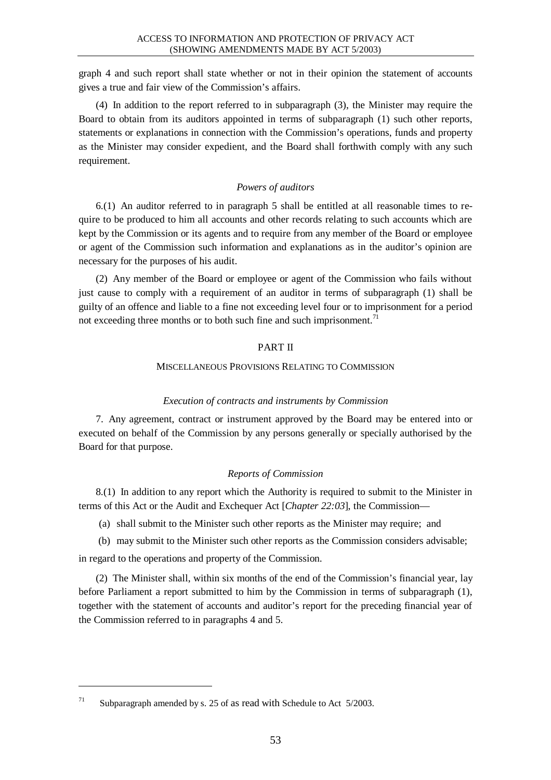graph 4 and such report shall state whether or not in their opinion the statement of accounts gives a true and fair view of the Commission's affairs.

(4) In addition to the report referred to in subparagraph (3), the Minister may require the Board to obtain from its auditors appointed in terms of subparagraph (1) such other reports, statements or explanations in connection with the Commission's operations, funds and property as the Minister may consider expedient, and the Board shall forthwith comply with any such requirement.

### *Powers of auditors*

6.(1) An auditor referred to in paragraph 5 shall be entitled at all reasonable times to require to be produced to him all accounts and other records relating to such accounts which are kept by the Commission or its agents and to require from any member of the Board or employee or agent of the Commission such information and explanations as in the auditor's opinion are necessary for the purposes of his audit.

(2) Any member of the Board or employee or agent of the Commission who fails without just cause to comply with a requirement of an auditor in terms of subparagraph (1) shall be guilty of an offence and liable to a fine not exceeding level four or to imprisonment for a period not exceeding three months or to both such fine and such imprisonment.<sup>71</sup>

# PART II

### MISCELLANEOUS PROVISIONS RELATING TO COMMISSION

# *Execution of contracts and instruments by Commission*

7. Any agreement, contract or instrument approved by the Board may be entered into or executed on behalf of the Commission by any persons generally or specially authorised by the Board for that purpose.

# *Reports of Commission*

8.(1) In addition to any report which the Authority is required to submit to the Minister in terms of this Act or the Audit and Exchequer Act [*Chapter 22:03*], the Commission—

(a) shall submit to the Minister such other reports as the Minister may require; and

(b) may submit to the Minister such other reports as the Commission considers advisable; in regard to the operations and property of the Commission.

(2) The Minister shall, within six months of the end of the Commission's financial year, lay before Parliament a report submitted to him by the Commission in terms of subparagraph (1), together with the statement of accounts and auditor's report for the preceding financial year of the Commission referred to in paragraphs 4 and 5.

<sup>&</sup>lt;sup>71</sup> Subparagraph amended by s. 25 of as read with Schedule to Act  $5/2003$ .